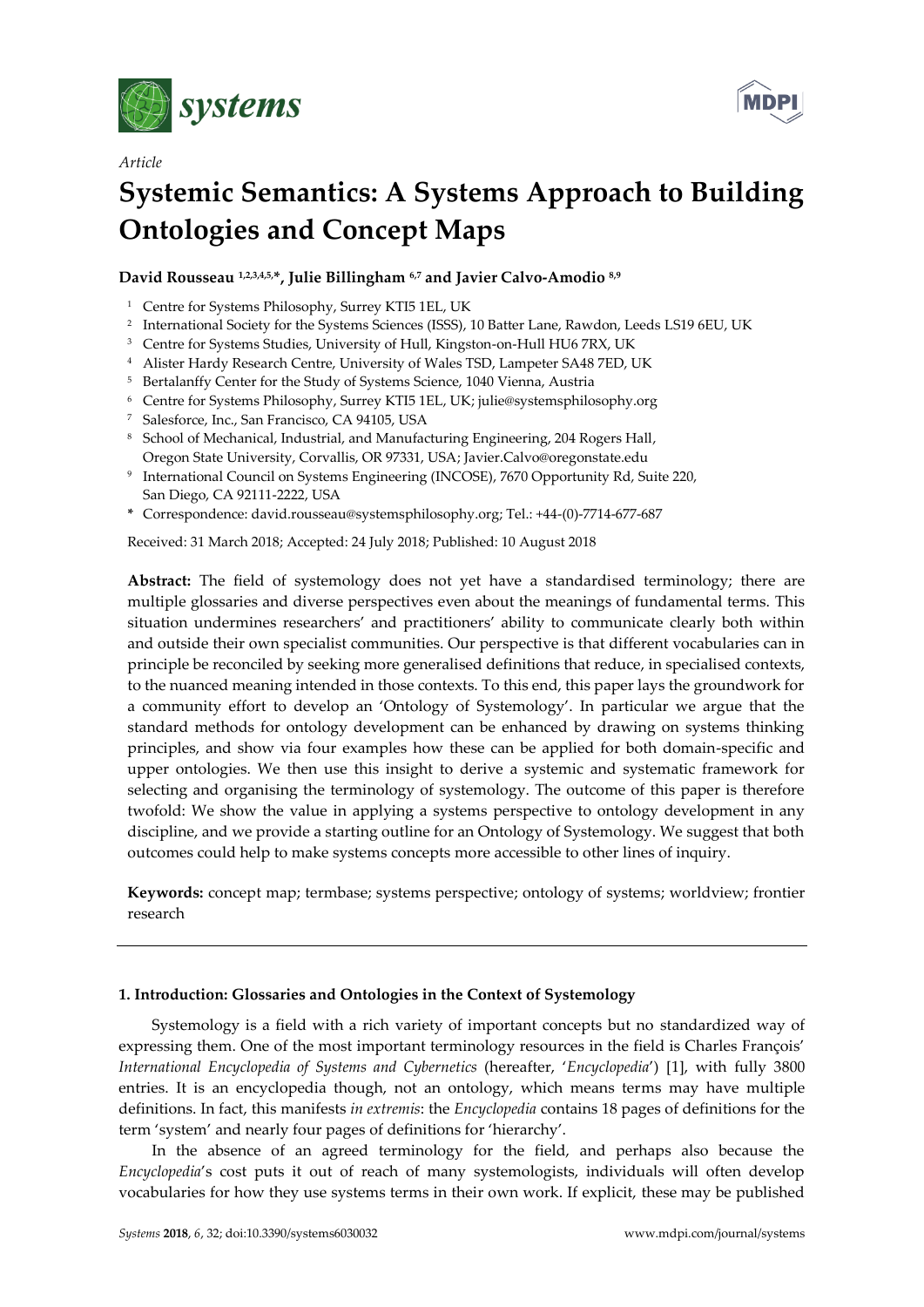

*Article*



# **Systemic Semantics: A Systems Approach to Building Ontologies and Concept Maps**

# **David Rousseau 1,2,3,4,5,\*, Julie Billingham 6,7 and Javier Calvo-Amodio 8,9**

- <sup>1</sup> Centre for Systems Philosophy, Surrey KTI5 1EL, UK
- 2 International Society for the Systems Sciences (ISSS), 10 Batter Lane, Rawdon, Leeds LS19 6EU, UK
- <sup>3</sup> Centre for Systems Studies, University of Hull, Kingston-on-Hull HU6 7RX, UK
- <sup>4</sup> Alister Hardy Research Centre, University of Wales TSD, Lampeter SA48 7ED, UK
- <sup>5</sup> Bertalanffy Center for the Study of Systems Science, 1040 Vienna, Austria
- <sup>6</sup> Centre for Systems Philosophy, Surrey KTI5 1EL, UK; julie@systemsphilosophy.org
- <sup>7</sup> Salesforce, Inc., San Francisco, CA 94105, USA
- <sup>8</sup> School of Mechanical, Industrial, and Manufacturing Engineering, 204 Rogers Hall, Oregon State University, Corvallis, OR 97331, USA; Javier.Calvo@oregonstate.edu
- 9 International Council on Systems Engineering (INCOSE), 7670 Opportunity Rd, Suite 220, San Diego, CA 92111-2222, USA
- **\*** Correspondence: david.rousseau@systemsphilosophy.org; Tel.: +44-(0)-7714-677-687

Received: 31 March 2018; Accepted: 24 July 2018; Published: 10 August 2018

**Abstract:** The field of systemology does not yet have a standardised terminology; there are multiple glossaries and diverse perspectives even about the meanings of fundamental terms. This situation undermines researchers' and practitioners' ability to communicate clearly both within and outside their own specialist communities. Our perspective is that different vocabularies can in principle be reconciled by seeking more generalised definitions that reduce, in specialised contexts, to the nuanced meaning intended in those contexts. To this end, this paper lays the groundwork for a community effort to develop an 'Ontology of Systemology'. In particular we argue that the standard methods for ontology development can be enhanced by drawing on systems thinking principles, and show via four examples how these can be applied for both domain-specific and upper ontologies. We then use this insight to derive a systemic and systematic framework for selecting and organising the terminology of systemology. The outcome of this paper is therefore twofold: We show the value in applying a systems perspective to ontology development in any discipline, and we provide a starting outline for an Ontology of Systemology. We suggest that both outcomes could help to make systems concepts more accessible to other lines of inquiry.

**Keywords:** concept map; termbase; systems perspective; ontology of systems; worldview; frontier research

## **1. Introduction: Glossaries and Ontologies in the Context of Systemology**

Systemology is a field with a rich variety of important concepts but no standardized way of expressing them. One of the most important terminology resources in the field is Charles François' *International Encyclopedia of Systems and Cybernetics* (hereafter, '*Encyclopedia*') [1], with fully 3800 entries. It is an encyclopedia though, not an ontology, which means terms may have multiple definitions. In fact, this manifests *in extremis*: the *Encyclopedia* contains 18 pages of definitions for the term 'system' and nearly four pages of definitions for 'hierarchy'.

In the absence of an agreed terminology for the field, and perhaps also because the *Encyclopedia*'s cost puts it out of reach of many systemologists, individuals will often develop vocabularies for how they use systems terms in their own work. If explicit, these may be published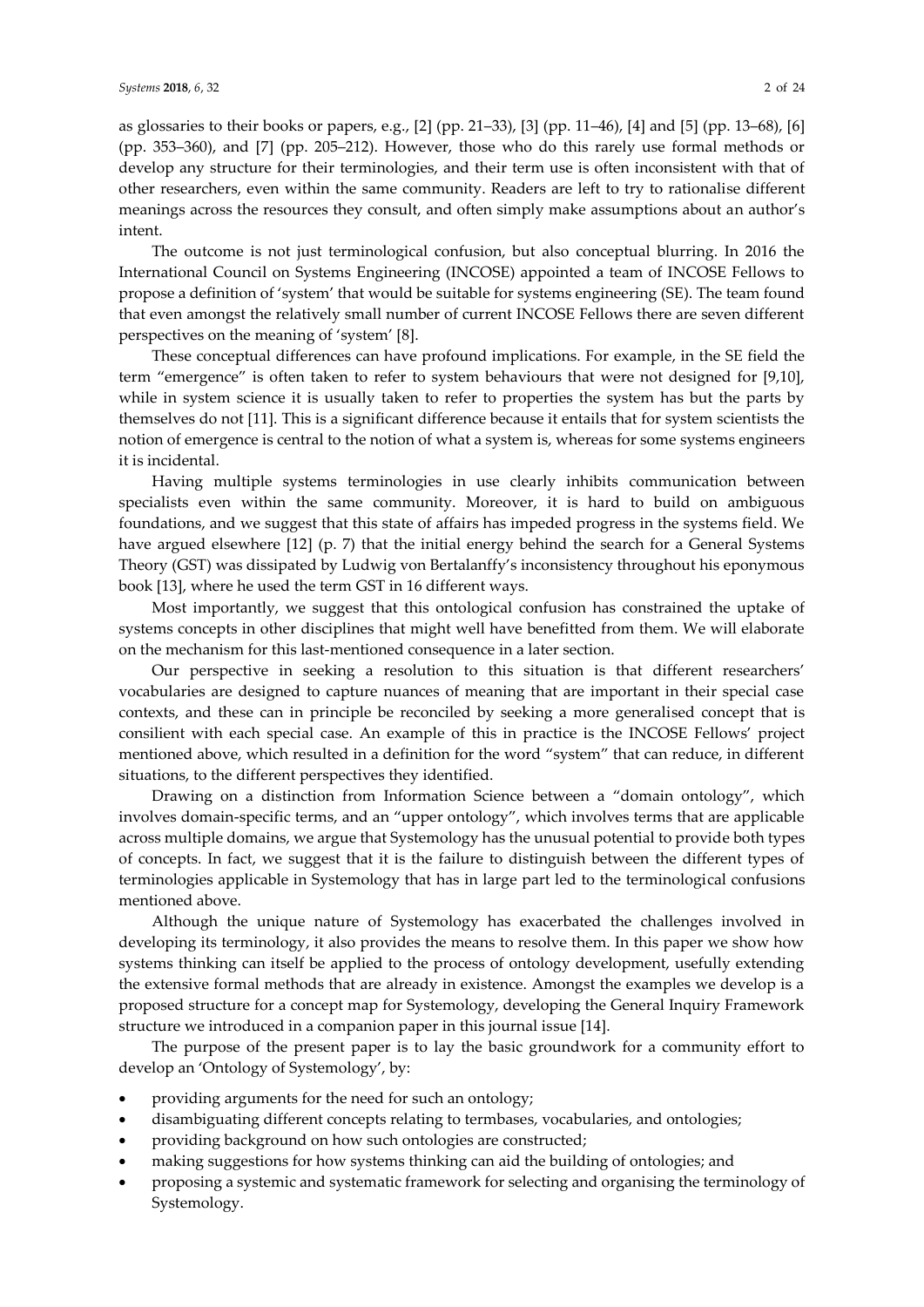as glossaries to their books or papers, e.g.,  $[2]$  (pp. 21–33),  $[3]$  (pp. 11–46),  $[4]$  and  $[5]$  (pp. 13–68),  $[6]$ (pp. 353–360), and [7] (pp. 205–212). However, those who do this rarely use formal methods or develop any structure for their terminologies, and their term use is often inconsistent with that of other researchers, even within the same community. Readers are left to try to rationalise different meanings across the resources they consult, and often simply make assumptions about an author's intent.

The outcome is not just terminological confusion, but also conceptual blurring. In 2016 the International Council on Systems Engineering (INCOSE) appointed a team of INCOSE Fellows to propose a definition of 'system' that would be suitable for systems engineering (SE). The team found that even amongst the relatively small number of current INCOSE Fellows there are seven different perspectives on the meaning of 'system' [8].

These conceptual differences can have profound implications. For example, in the SE field the term "emergence" is often taken to refer to system behaviours that were not designed for [9,10], while in system science it is usually taken to refer to properties the system has but the parts by themselves do not [11]. This is a significant difference because it entails that for system scientists the notion of emergence is central to the notion of what a system is, whereas for some systems engineers it is incidental.

Having multiple systems terminologies in use clearly inhibits communication between specialists even within the same community. Moreover, it is hard to build on ambiguous foundations, and we suggest that this state of affairs has impeded progress in the systems field. We have argued elsewhere [12] (p. 7) that the initial energy behind the search for a General Systems Theory (GST) was dissipated by Ludwig von Bertalanffy's inconsistency throughout his eponymous book [13], where he used the term GST in 16 different ways.

Most importantly, we suggest that this ontological confusion has constrained the uptake of systems concepts in other disciplines that might well have benefitted from them. We will elaborate on the mechanism for this last-mentioned consequence in a later section.

Our perspective in seeking a resolution to this situation is that different researchers' vocabularies are designed to capture nuances of meaning that are important in their special case contexts, and these can in principle be reconciled by seeking a more generalised concept that is consilient with each special case. An example of this in practice is the INCOSE Fellows' project mentioned above, which resulted in a definition for the word "system" that can reduce, in different situations, to the different perspectives they identified.

Drawing on a distinction from Information Science between a "domain ontology", which involves domain-specific terms, and an "upper ontology", which involves terms that are applicable across multiple domains, we argue that Systemology has the unusual potential to provide both types of concepts. In fact, we suggest that it is the failure to distinguish between the different types of terminologies applicable in Systemology that has in large part led to the terminological confusions mentioned above.

Although the unique nature of Systemology has exacerbated the challenges involved in developing its terminology, it also provides the means to resolve them. In this paper we show how systems thinking can itself be applied to the process of ontology development, usefully extending the extensive formal methods that are already in existence. Amongst the examples we develop is a proposed structure for a concept map for Systemology, developing the General Inquiry Framework structure we introduced in a companion paper in this journal issue [14].

The purpose of the present paper is to lay the basic groundwork for a community effort to develop an 'Ontology of Systemology', by:

- providing arguments for the need for such an ontology;
- disambiguating different concepts relating to termbases, vocabularies, and ontologies;
- providing background on how such ontologies are constructed;
- making suggestions for how systems thinking can aid the building of ontologies; and
- proposing a systemic and systematic framework for selecting and organising the terminology of Systemology.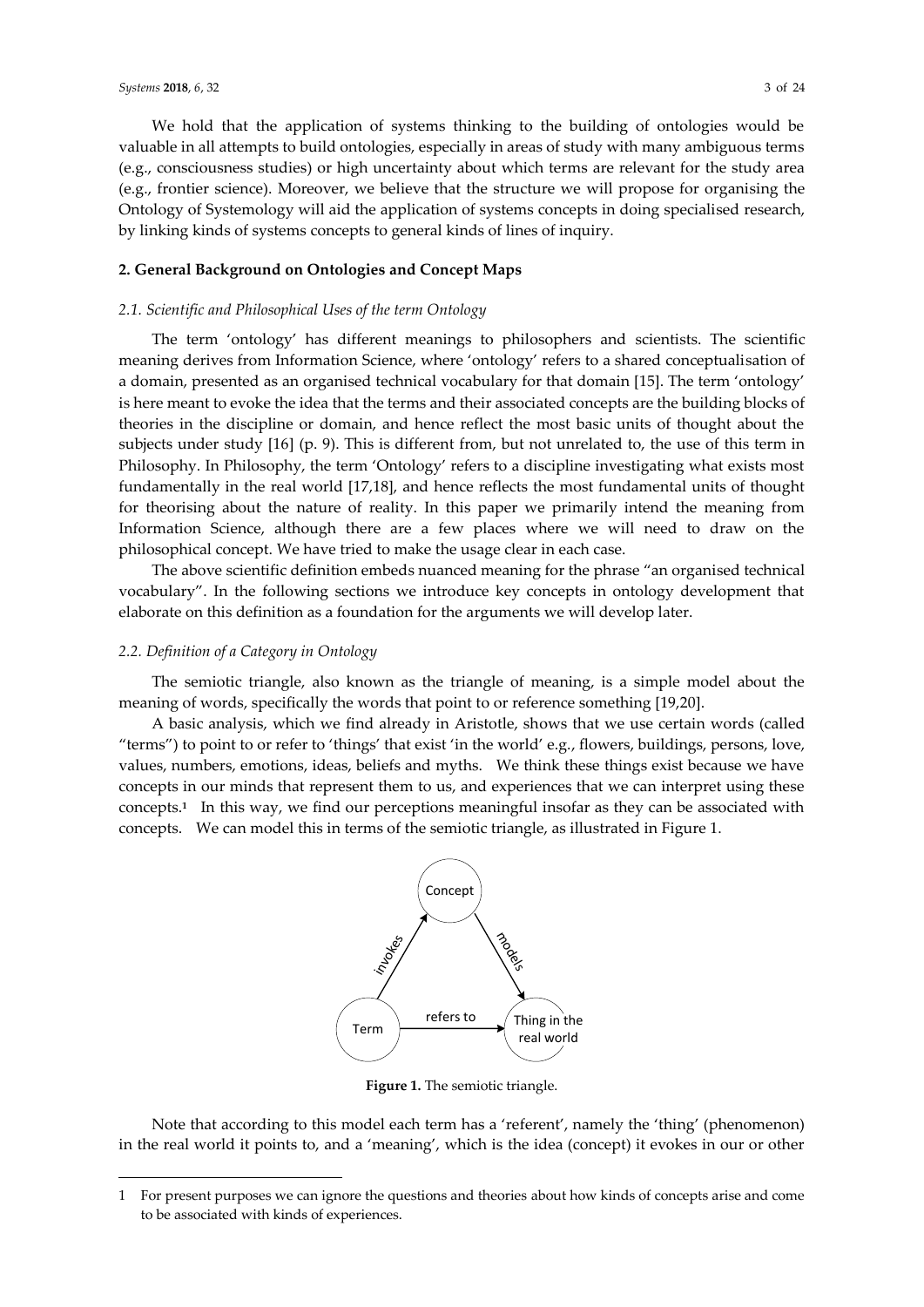We hold that the application of systems thinking to the building of ontologies would be valuable in all attempts to build ontologies, especially in areas of study with many ambiguous terms (e.g., consciousness studies) or high uncertainty about which terms are relevant for the study area (e.g., frontier science). Moreover, we believe that the structure we will propose for organising the Ontology of Systemology will aid the application of systems concepts in doing specialised research, by linking kinds of systems concepts to general kinds of lines of inquiry.

## **2. General Background on Ontologies and Concept Maps**

## *2.1. Scientific and Philosophical Uses of the term Ontology*

The term 'ontology' has different meanings to philosophers and scientists. The scientific meaning derives from Information Science, where 'ontology' refers to a shared conceptualisation of a domain, presented as an organised technical vocabulary for that domain [15]. The term 'ontology' is here meant to evoke the idea that the terms and their associated concepts are the building blocks of theories in the discipline or domain, and hence reflect the most basic units of thought about the subjects under study [16] (p. 9). This is different from, but not unrelated to, the use of this term in Philosophy. In Philosophy, the term 'Ontology' refers to a discipline investigating what exists most fundamentally in the real world [17,18], and hence reflects the most fundamental units of thought for theorising about the nature of reality. In this paper we primarily intend the meaning from Information Science, although there are a few places where we will need to draw on the philosophical concept. We have tried to make the usage clear in each case.

The above scientific definition embeds nuanced meaning for the phrase "an organised technical vocabulary". In the following sections we introduce key concepts in ontology development that elaborate on this definition as a foundation for the arguments we will develop later.

## *2.2. Definition of a Category in Ontology*

 $\overline{a}$ 

The semiotic triangle, also known as the triangle of meaning, is a simple model about the meaning of words, specifically the words that point to or reference something [19,20].

A basic analysis, which we find already in Aristotle, shows that we use certain words (called "terms") to point to or refer to 'things' that exist 'in the world' e.g., flowers, buildings, persons, love, values, numbers, emotions, ideas, beliefs and myths. We think these things exist because we have concepts in our minds that represent them to us, and experiences that we can interpret using these concepts. **1** In this way, we find our perceptions meaningful insofar as they can be associated with concepts. We can model this in terms of the semiotic triangle, as illustrated in Figure 1.



**Figure 1.** The semiotic triangle.

Note that according to this model each term has a 'referent', namely the 'thing' (phenomenon) in the real world it points to, and a 'meaning', which is the idea (concept) it evokes in our or other

<sup>1</sup> For present purposes we can ignore the questions and theories about how kinds of concepts arise and come to be associated with kinds of experiences.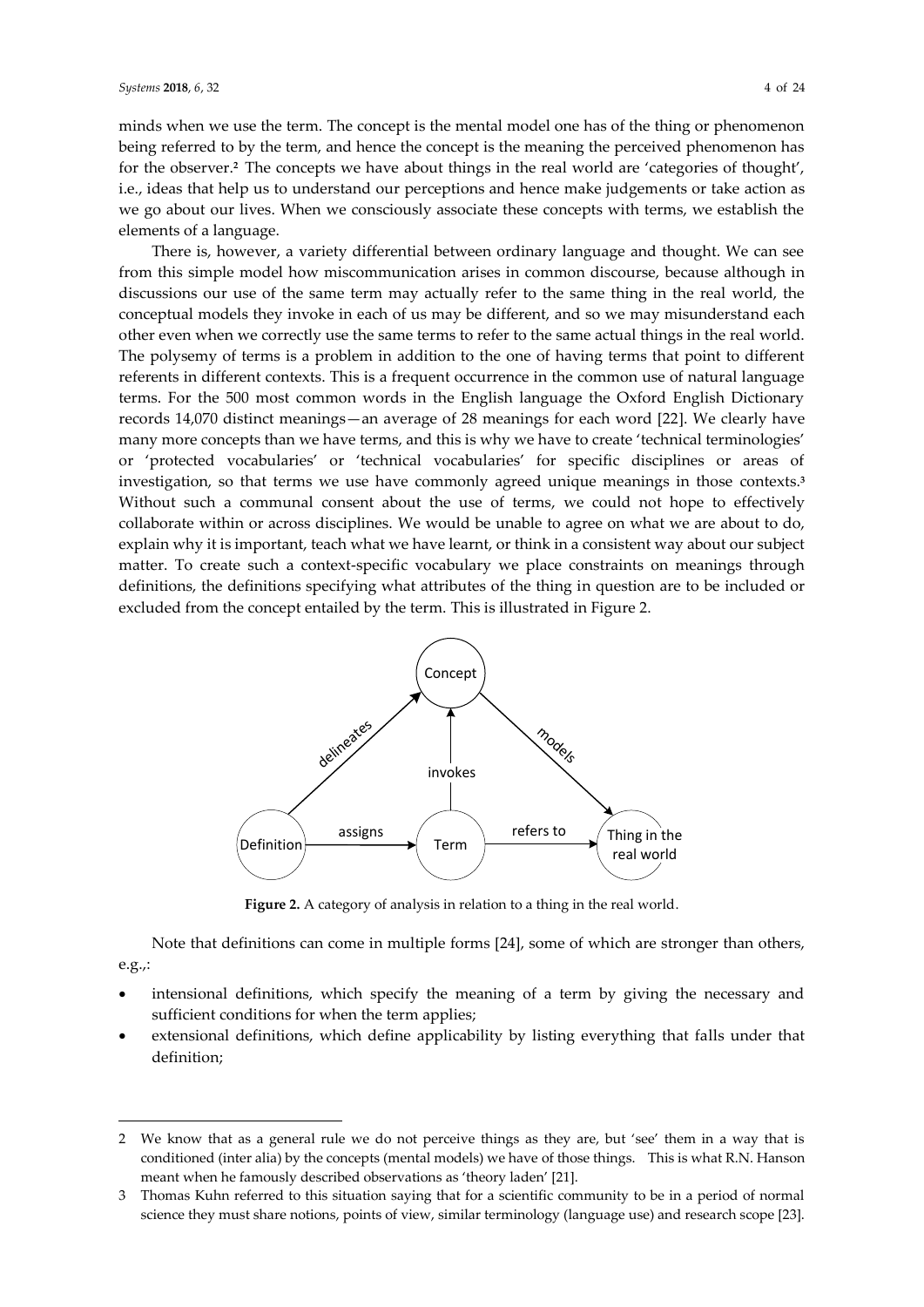$\overline{a}$ 

minds when we use the term. The concept is the mental model one has of the thing or phenomenon being referred to by the term, and hence the concept is the meaning the perceived phenomenon has for the observer.**<sup>2</sup>** The concepts we have about things in the real world are 'categories of thought', i.e., ideas that help us to understand our perceptions and hence make judgements or take action as we go about our lives. When we consciously associate these concepts with terms, we establish the elements of a language.

There is, however, a variety differential between ordinary language and thought. We can see from this simple model how miscommunication arises in common discourse, because although in discussions our use of the same term may actually refer to the same thing in the real world, the conceptual models they invoke in each of us may be different, and so we may misunderstand each other even when we correctly use the same terms to refer to the same actual things in the real world. The polysemy of terms is a problem in addition to the one of having terms that point to different referents in different contexts. This is a frequent occurrence in the common use of natural language terms. For the 500 most common words in the English language the Oxford English Dictionary records 14,070 distinct meanings—an average of 28 meanings for each word [22]. We clearly have many more concepts than we have terms, and this is why we have to create 'technical terminologies' or 'protected vocabularies' or 'technical vocabularies' for specific disciplines or areas of investigation, so that terms we use have commonly agreed unique meanings in those contexts.**<sup>3</sup>** Without such a communal consent about the use of terms, we could not hope to effectively collaborate within or across disciplines. We would be unable to agree on what we are about to do, explain why it is important, teach what we have learnt, or think in a consistent way about our subject matter. To create such a context-specific vocabulary we place constraints on meanings through definitions, the definitions specifying what attributes of the thing in question are to be included or excluded from the concept entailed by the term. This is illustrated in Figure 2.



**Figure 2.** A category of analysis in relation to a thing in the real world.

Note that definitions can come in multiple forms [24], some of which are stronger than others, e.g.,:

- intensional definitions, which specify the meaning of a term by giving the necessary and sufficient conditions for when the term applies;
- extensional definitions, which define applicability by listing everything that falls under that definition;

<sup>2</sup> We know that as a general rule we do not perceive things as they are, but 'see' them in a way that is conditioned (inter alia) by the concepts (mental models) we have of those things. This is what R.N. Hanson meant when he famously described observations as 'theory laden' [21].

<sup>3</sup> Thomas Kuhn referred to this situation saying that for a scientific community to be in a period of normal science they must share notions, points of view, similar terminology (language use) and research scope [23].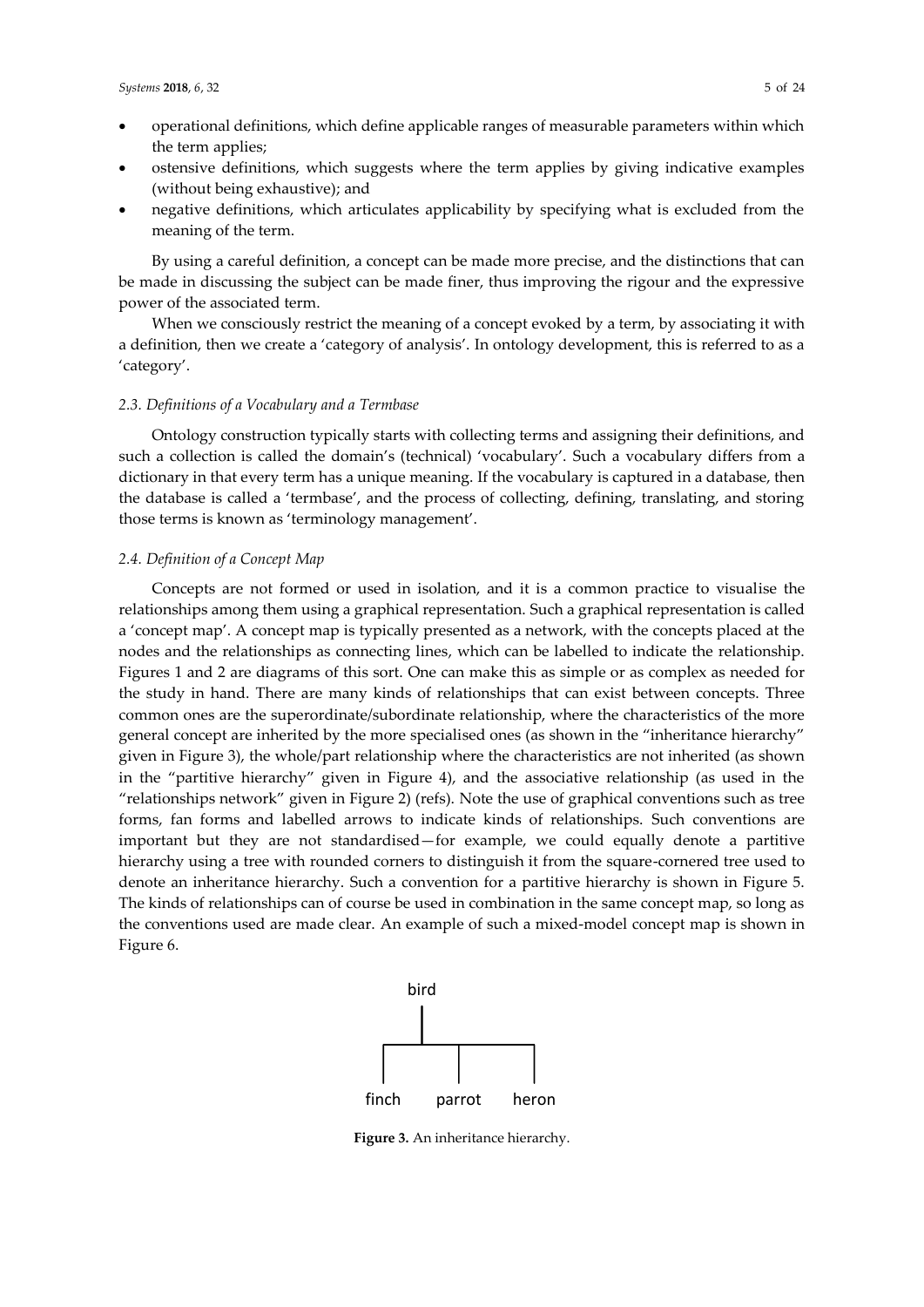- operational definitions, which define applicable ranges of measurable parameters within which the term applies;
- ostensive definitions, which suggests where the term applies by giving indicative examples (without being exhaustive); and
- negative definitions, which articulates applicability by specifying what is excluded from the meaning of the term.

By using a careful definition, a concept can be made more precise, and the distinctions that can be made in discussing the subject can be made finer, thus improving the rigour and the expressive power of the associated term.

When we consciously restrict the meaning of a concept evoked by a term, by associating it with a definition, then we create a 'category of analysis'. In ontology development, this is referred to as a 'category'.

#### *2.3. Definitions of a Vocabulary and a Termbase*

Ontology construction typically starts with collecting terms and assigning their definitions, and such a collection is called the domain's (technical) 'vocabulary'. Such a vocabulary differs from a dictionary in that every term has a unique meaning. If the vocabulary is captured in a database, then the database is called a 'termbase', and the process of collecting, defining, translating, and storing those terms is known as 'terminology management'.

#### *2.4. Definition of a Concept Map*

Concepts are not formed or used in isolation, and it is a common practice to visualise the relationships among them using a graphical representation. Such a graphical representation is called a 'concept map'. A concept map is typically presented as a network, with the concepts placed at the nodes and the relationships as connecting lines, which can be labelled to indicate the relationship. Figures 1 and 2 are diagrams of this sort. One can make this as simple or as complex as needed for the study in hand. There are many kinds of relationships that can exist between concepts. Three common ones are the superordinate/subordinate relationship, where the characteristics of the more general concept are inherited by the more specialised ones (as shown in the "inheritance hierarchy" given in Figure 3), the whole/part relationship where the characteristics are not inherited (as shown in the "partitive hierarchy" given in Figure 4), and the associative relationship (as used in the "relationships network" given in Figure 2) (refs). Note the use of graphical conventions such as tree forms, fan forms and labelled arrows to indicate kinds of relationships. Such conventions are important but they are not standardised—for example, we could equally denote a partitive hierarchy using a tree with rounded corners to distinguish it from the square-cornered tree used to denote an inheritance hierarchy. Such a convention for a partitive hierarchy is shown in Figure 5. The kinds of relationships can of course be used in combination in the same concept map, so long as the conventions used are made clear. An example of such a mixed-model concept map is shown in Figure 6.



**Figure 3.** An inheritance hierarchy.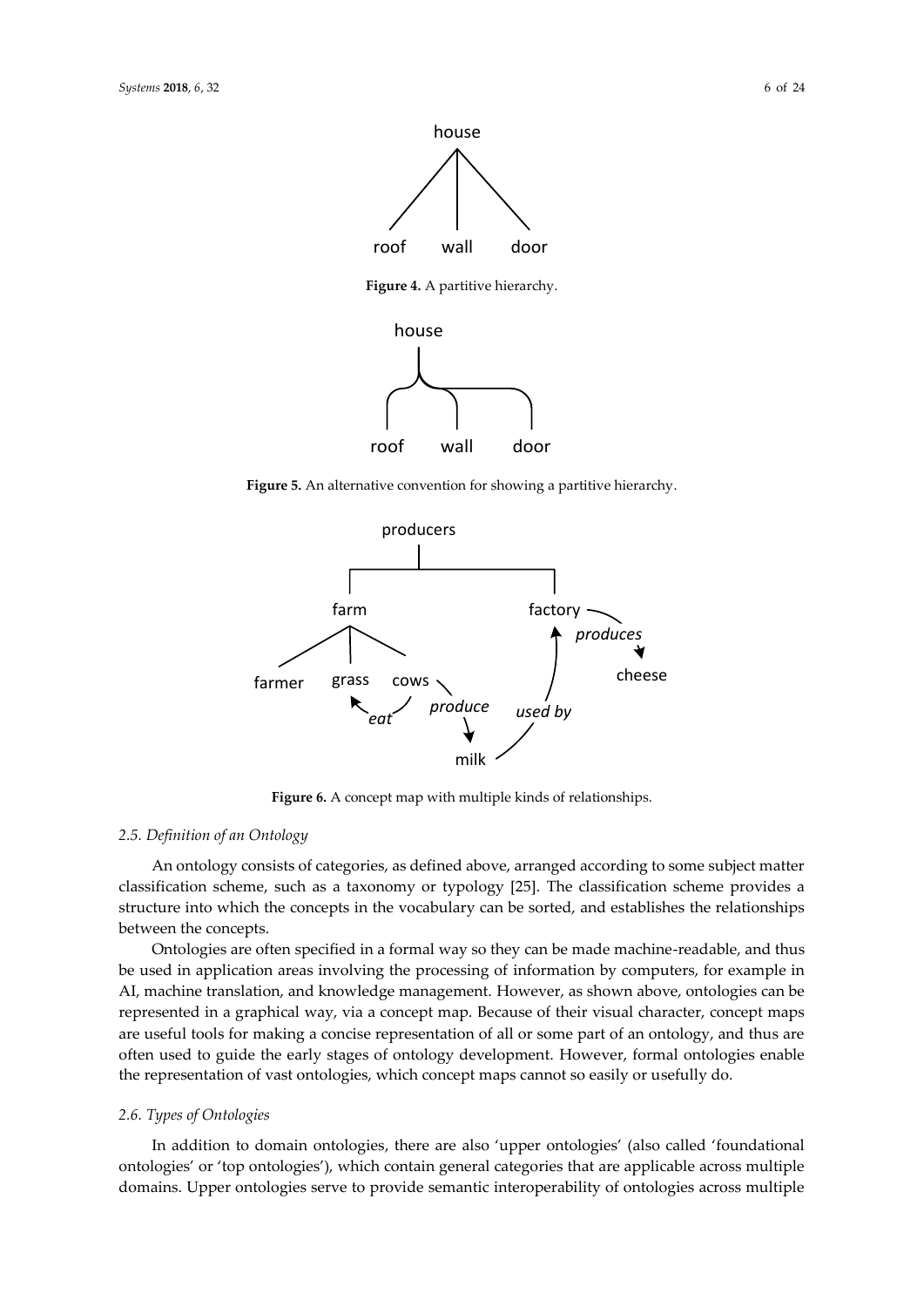

**Figure 4.** A partitive hierarchy.



**Figure 5.** An alternative convention for showing a partitive hierarchy.



**Figure 6.** A concept map with multiple kinds of relationships.

## *2.5. Definition of an Ontology*

An ontology consists of categories, as defined above, arranged according to some subject matter classification scheme, such as a taxonomy or typology [25]. The classification scheme provides a structure into which the concepts in the vocabulary can be sorted, and establishes the relationships between the concepts.

Ontologies are often specified in a formal way so they can be made machine-readable, and thus be used in application areas involving the processing of information by computers, for example in AI, machine translation, and knowledge management. However, as shown above, ontologies can be represented in a graphical way, via a concept map. Because of their visual character, concept maps are useful tools for making a concise representation of all or some part of an ontology, and thus are often used to guide the early stages of ontology development. However, formal ontologies enable the representation of vast ontologies, which concept maps cannot so easily or usefully do.

#### *2.6. Types of Ontologies*

In addition to domain ontologies, there are also 'upper ontologies' (also called 'foundational ontologies' or 'top ontologies'), which contain general categories that are applicable across multiple domains. Upper ontologies serve to provide semantic interoperability of ontologies across multiple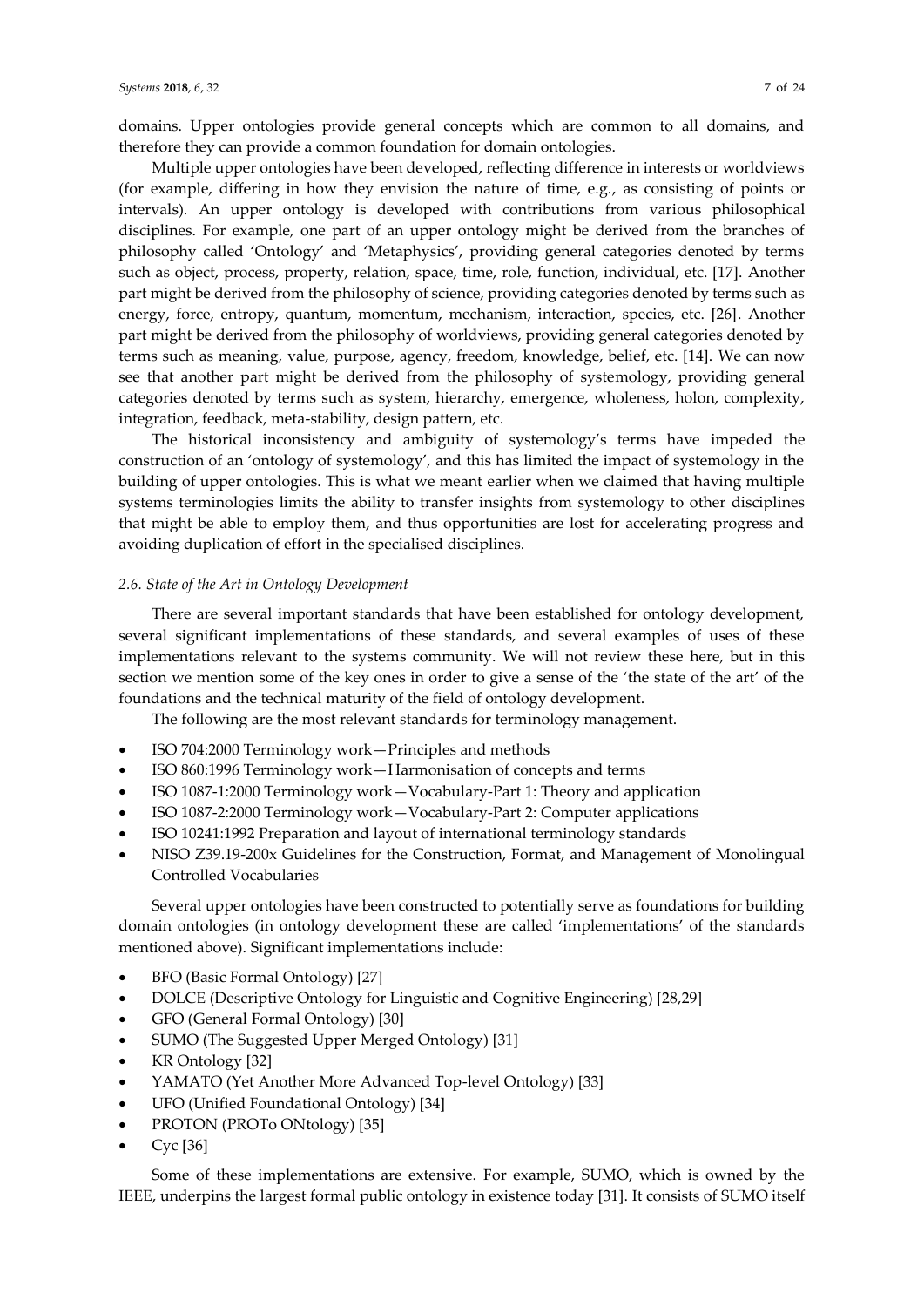domains. Upper ontologies provide general concepts which are common to all domains, and therefore they can provide a common foundation for domain ontologies.

Multiple upper ontologies have been developed, reflecting difference in interests or worldviews (for example, differing in how they envision the nature of time, e.g., as consisting of points or intervals). An upper ontology is developed with contributions from various philosophical disciplines. For example, one part of an upper ontology might be derived from the branches of philosophy called 'Ontology' and 'Metaphysics', providing general categories denoted by terms such as object, process, property, relation, space, time, role, function, individual, etc. [17]. Another part might be derived from the philosophy of science, providing categories denoted by terms such as energy, force, entropy, quantum, momentum, mechanism, interaction, species, etc. [26]. Another part might be derived from the philosophy of worldviews, providing general categories denoted by terms such as meaning, value, purpose, agency, freedom, knowledge, belief, etc. [14]. We can now see that another part might be derived from the philosophy of systemology, providing general categories denoted by terms such as system, hierarchy, emergence, wholeness, holon, complexity, integration, feedback, meta-stability, design pattern, etc.

The historical inconsistency and ambiguity of systemology's terms have impeded the construction of an 'ontology of systemology', and this has limited the impact of systemology in the building of upper ontologies. This is what we meant earlier when we claimed that having multiple systems terminologies limits the ability to transfer insights from systemology to other disciplines that might be able to employ them, and thus opportunities are lost for accelerating progress and avoiding duplication of effort in the specialised disciplines.

## *2.6. State of the Art in Ontology Development*

There are several important standards that have been established for ontology development, several significant implementations of these standards, and several examples of uses of these implementations relevant to the systems community. We will not review these here, but in this section we mention some of the key ones in order to give a sense of the 'the state of the art' of the foundations and the technical maturity of the field of ontology development.

The following are the most relevant standards for terminology management.

- ISO 704:2000 Terminology work—Principles and methods
- ISO 860:1996 Terminology work—Harmonisation of concepts and terms
- ISO 1087-1:2000 Terminology work—Vocabulary-Part 1: Theory and application
- ISO 1087-2:2000 Terminology work—Vocabulary-Part 2: Computer applications
- ISO 10241:1992 Preparation and layout of international terminology standards
- NISO Z39.19-200x Guidelines for the Construction, Format, and Management of Monolingual Controlled Vocabularies

Several upper ontologies have been constructed to potentially serve as foundations for building domain ontologies (in ontology development these are called 'implementations' of the standards mentioned above). Significant implementations include:

- BFO (Basic Formal Ontology) [27]
- DOLCE (Descriptive Ontology for Linguistic and Cognitive Engineering) [28,29]
- GFO (General Formal Ontology) [30]
- SUMO (The [Suggested Upper Merged Ontology\)](http://www.ontologyportal.org/) [31]
- [KR Ontology](http://www.jfsowa.com/ontology/) [32]
- YAMATO (Yet Another More Advanced Top-level Ontology) [33]
- UFO (Unified Foundational Ontology) [34]
- PROTON (PROTo ONtology) [35]
- Cyc [36]

Some of these implementations are extensive. For example, SUMO, which is owned by the IEEE, underpins the largest formal public ontology in existence today [31]. It consists of SUMO itself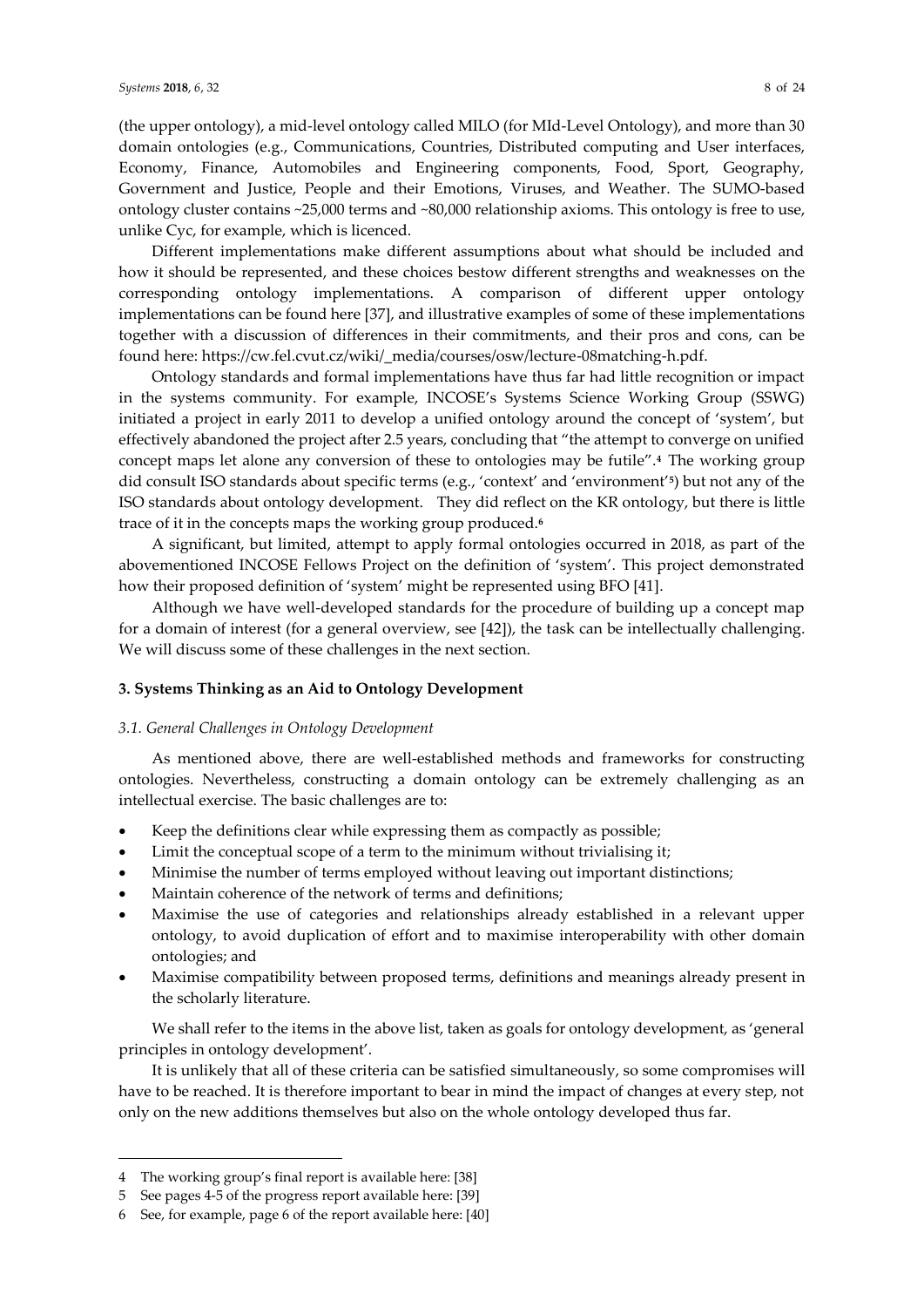(the upper ontology), a mid-level ontology called MILO (for MId-Level Ontology), and more than 30 domain ontologies (e.g., Communications, Countries, Distributed computing and User interfaces, Economy, Finance, Automobiles and Engineering components, Food, Sport, Geography, Government and Justice, People and their Emotions, Viruses, and Weather. The SUMO-based ontology cluster contains ~25,000 terms and ~80,000 relationship axioms. This ontology is free to use, unlike Cyc, for example, which is licenced.

Different implementations make different assumptions about what should be included and how it should be represented, and these choices bestow different strengths and weaknesses on the corresponding ontology implementations. A comparison of different upper ontology implementations can be found here [37], and illustrative examples of some of these implementations together with a discussion of differences in their commitments, and their pros and cons, can be found here: https://cw.fel.cvut.cz/wiki/\_media/courses/osw/lecture-08matching-h.pdf.

Ontology standards and formal implementations have thus far had little recognition or impact in the systems community. For example, INCOSE's Systems Science Working Group (SSWG) initiated a project in early 2011 to develop a unified ontology around the concept of 'system', but effectively abandoned the project after 2.5 years, concluding that "the attempt to converge on unified concept maps let alone any conversion of these to ontologies may be futile".**<sup>4</sup>** The working group did consult ISO standards about specific terms (e.g., 'context' and 'environment'**<sup>5</sup>** ) but not any of the ISO standards about ontology development. They did reflect on the KR ontology, but there is little trace of it in the concepts maps the working group produced.**<sup>6</sup>**

A significant, but limited, attempt to apply formal ontologies occurred in 2018, as part of the abovementioned INCOSE Fellows Project on the definition of 'system'. This project demonstrated how their proposed definition of 'system' might be represented using BFO [41].

Although we have well-developed standards for the procedure of building up a concept map for a domain of interest (for a general overview, see [42]), the task can be intellectually challenging. We will discuss some of these challenges in the next section.

## **3. Systems Thinking as an Aid to Ontology Development**

## *3.1. General Challenges in Ontology Development*

As mentioned above, there are well-established methods and frameworks for constructing ontologies. Nevertheless, constructing a domain ontology can be extremely challenging as an intellectual exercise. The basic challenges are to:

- Keep the definitions clear while expressing them as compactly as possible;
- Limit the conceptual scope of a term to the minimum without trivialising it;
- Minimise the number of terms employed without leaving out important distinctions;
- Maintain coherence of the network of terms and definitions;
- Maximise the use of categories and relationships already established in a relevant upper ontology, to avoid duplication of effort and to maximise interoperability with other domain ontologies; and
- Maximise compatibility between proposed terms, definitions and meanings already present in the scholarly literature.

We shall refer to the items in the above list, taken as goals for ontology development, as 'general principles in ontology development'.

It is unlikely that all of these criteria can be satisfied simultaneously, so some compromises will have to be reached. It is therefore important to bear in mind the impact of changes at every step, not only on the new additions themselves but also on the whole ontology developed thus far.

 $\overline{a}$ 

<sup>4</sup> The working group's final report is available here: [38]

<sup>5</sup> See pages 4-5 of the progress report available here: [39]

<sup>6</sup> See, for example, page 6 of the report available here: [40]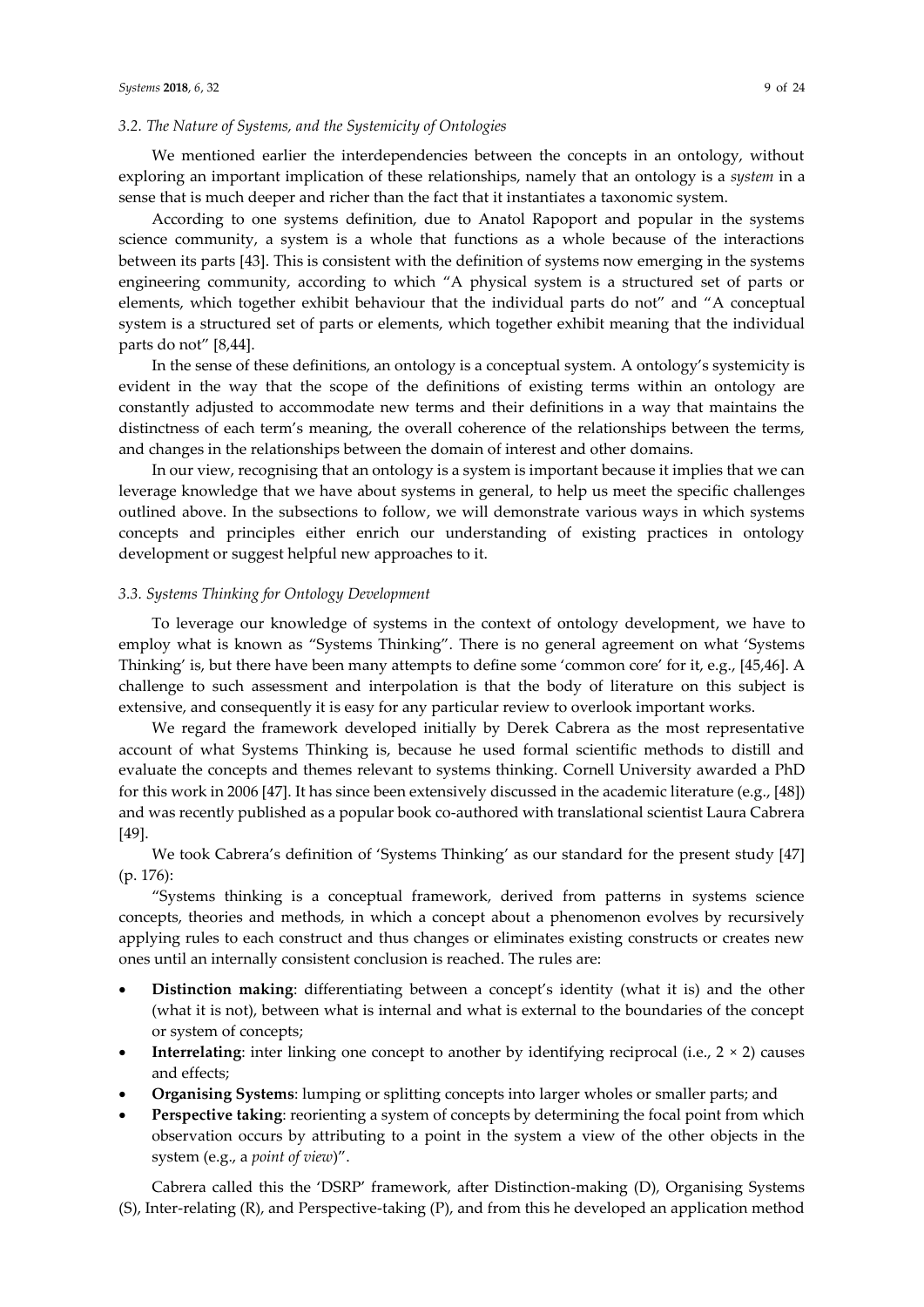#### *3.2. The Nature of Systems, and the Systemicity of Ontologies*

We mentioned earlier the interdependencies between the concepts in an ontology, without exploring an important implication of these relationships, namely that an ontology is a *system* in a sense that is much deeper and richer than the fact that it instantiates a taxonomic system.

According to one systems definition, due to Anatol Rapoport and popular in the systems science community, a system is a whole that functions as a whole because of the interactions between its parts [43]. This is consistent with the definition of systems now emerging in the systems engineering community, according to which "A physical system is a structured set of parts or elements, which together exhibit behaviour that the individual parts do not" and "A conceptual system is a structured set of parts or elements, which together exhibit meaning that the individual parts do not" [8,44].

In the sense of these definitions, an ontology is a conceptual system. A ontology's systemicity is evident in the way that the scope of the definitions of existing terms within an ontology are constantly adjusted to accommodate new terms and their definitions in a way that maintains the distinctness of each term's meaning, the overall coherence of the relationships between the terms, and changes in the relationships between the domain of interest and other domains.

In our view, recognising that an ontology is a system is important because it implies that we can leverage knowledge that we have about systems in general, to help us meet the specific challenges outlined above. In the subsections to follow, we will demonstrate various ways in which systems concepts and principles either enrich our understanding of existing practices in ontology development or suggest helpful new approaches to it.

## *3.3. Systems Thinking for Ontology Development*

To leverage our knowledge of systems in the context of ontology development, we have to employ what is known as "Systems Thinking". There is no general agreement on what 'Systems Thinking' is, but there have been many attempts to define some 'common core' for it, e.g., [45,46]. A challenge to such assessment and interpolation is that the body of literature on this subject is extensive, and consequently it is easy for any particular review to overlook important works.

We regard the framework developed initially by Derek Cabrera as the most representative account of what Systems Thinking is, because he used formal scientific methods to distill and evaluate the concepts and themes relevant to systems thinking. Cornell University awarded a PhD for this work in 2006 [47]. It has since been extensively discussed in the academic literature (e.g., [48]) and was recently published as a popular book co-authored with translational scientist Laura Cabrera [49].

We took Cabrera's definition of 'Systems Thinking' as our standard for the present study [47] (p. 176):

"Systems thinking is a conceptual framework, derived from patterns in systems science concepts, theories and methods, in which a concept about a phenomenon evolves by recursively applying rules to each construct and thus changes or eliminates existing constructs or creates new ones until an internally consistent conclusion is reached. The rules are:

- **Distinction making**: differentiating between a concept's identity (what it is) and the other (what it is not), between what is internal and what is external to the boundaries of the concept or system of concepts;
- **Interrelating**: inter linking one concept to another by identifying reciprocal (i.e.,  $2 \times 2$ ) causes and effects;
- **Organising Systems**: lumping or splitting concepts into larger wholes or smaller parts; and
- **Perspective taking**: reorienting a system of concepts by determining the focal point from which observation occurs by attributing to a point in the system a view of the other objects in the system (e.g., a *point of view*)".

Cabrera called this the 'DSRP' framework, after Distinction-making (D), Organising Systems (S), Inter-relating (R), and Perspective-taking (P), and from this he developed an application method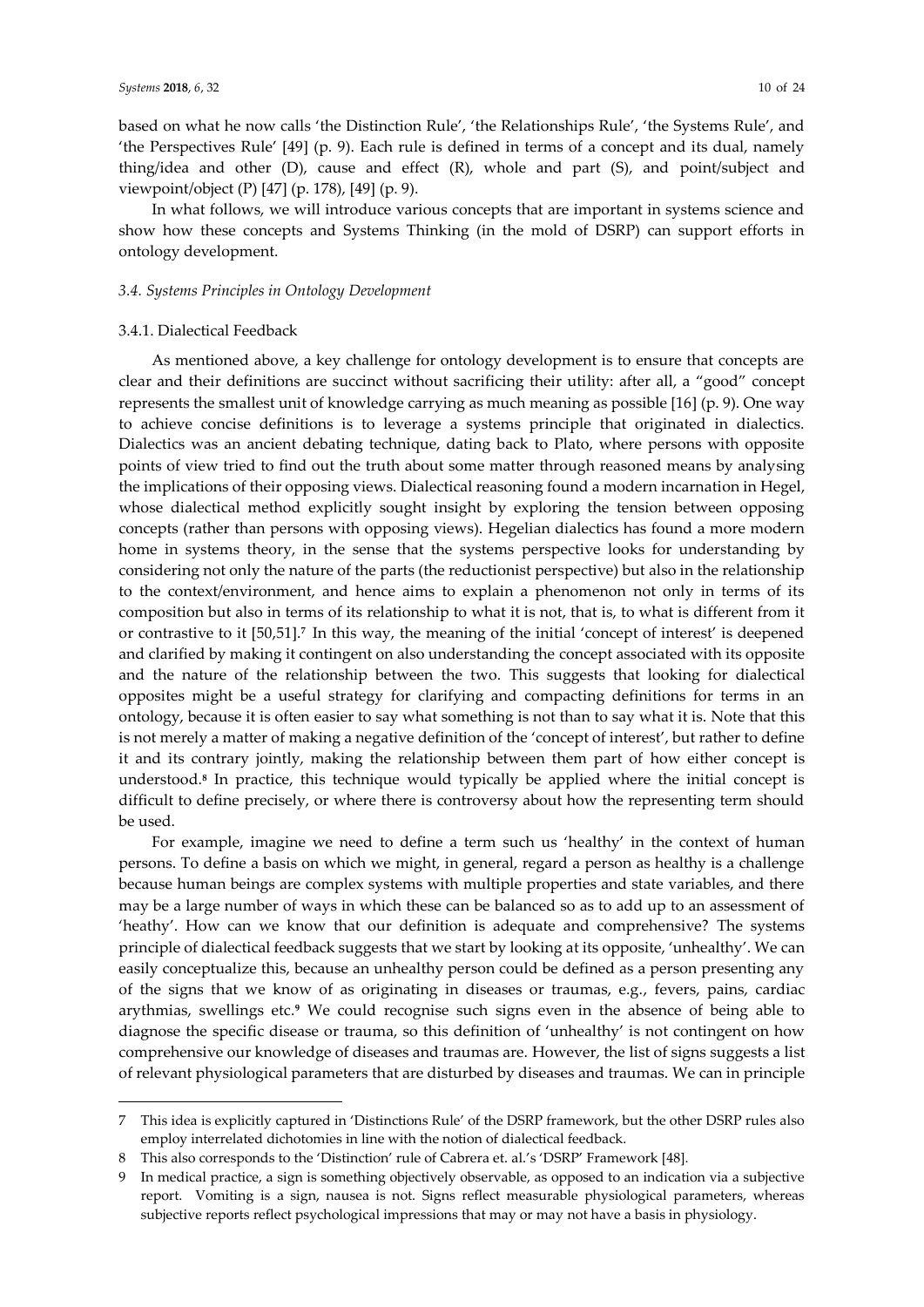based on what he now calls 'the Distinction Rule', 'the Relationships Rule', 'the Systems Rule', and 'the Perspectives Rule' [49] (p. 9). Each rule is defined in terms of a concept and its dual, namely thing/idea and other (D), cause and effect (R), whole and part (S), and point/subject and viewpoint/object (P) [47] (p. 178), [49] (p. 9).

In what follows, we will introduce various concepts that are important in systems science and show how these concepts and Systems Thinking (in the mold of DSRP) can support efforts in ontology development.

#### *3.4. Systems Principles in Ontology Development*

#### 3.4.1. Dialectical Feedback

 $\overline{a}$ 

As mentioned above, a key challenge for ontology development is to ensure that concepts are clear and their definitions are succinct without sacrificing their utility: after all, a "good" concept represents the smallest unit of knowledge carrying as much meaning as possible [16] (p. 9). One way to achieve concise definitions is to leverage a systems principle that originated in dialectics. Dialectics was an ancient debating technique, dating back to Plato, where persons with opposite points of view tried to find out the truth about some matter through reasoned means by analysing the implications of their opposing views. Dialectical reasoning found a modern incarnation in Hegel, whose dialectical method explicitly sought insight by exploring the tension between opposing concepts (rather than persons with opposing views). Hegelian dialectics has found a more modern home in systems theory, in the sense that the systems perspective looks for understanding by considering not only the nature of the parts (the reductionist perspective) but also in the relationship to the context/environment, and hence aims to explain a phenomenon not only in terms of its composition but also in terms of its relationship to what it is not, that is, to what is different from it or contrastive to it [50,51].**<sup>7</sup>** In this way, the meaning of the initial 'concept of interest' is deepened and clarified by making it contingent on also understanding the concept associated with its opposite and the nature of the relationship between the two. This suggests that looking for dialectical opposites might be a useful strategy for clarifying and compacting definitions for terms in an ontology, because it is often easier to say what something is not than to say what it is. Note that this is not merely a matter of making a negative definition of the 'concept of interest', but rather to define it and its contrary jointly, making the relationship between them part of how either concept is understood.**<sup>8</sup>** In practice, this technique would typically be applied where the initial concept is difficult to define precisely, or where there is controversy about how the representing term should be used.

For example, imagine we need to define a term such us 'healthy' in the context of human persons. To define a basis on which we might, in general, regard a person as healthy is a challenge because human beings are complex systems with multiple properties and state variables, and there may be a large number of ways in which these can be balanced so as to add up to an assessment of 'heathy'. How can we know that our definition is adequate and comprehensive? The systems principle of dialectical feedback suggests that we start by looking at its opposite, 'unhealthy'. We can easily conceptualize this, because an unhealthy person could be defined as a person presenting any of the signs that we know of as originating in diseases or traumas, e.g., fevers, pains, cardiac arythmias, swellings etc. **<sup>9</sup>** We could recognise such signs even in the absence of being able to diagnose the specific disease or trauma, so this definition of 'unhealthy' is not contingent on how comprehensive our knowledge of diseases and traumas are. However, the list of signs suggests a list of relevant physiological parameters that are disturbed by diseases and traumas. We can in principle

<sup>7</sup> This idea is explicitly captured in 'Distinctions Rule' of the DSRP framework, but the other DSRP rules also employ interrelated dichotomies in line with the notion of dialectical feedback.

<sup>8</sup> This also corresponds to the 'Distinction' rule of Cabrera et. al.'s 'DSRP' Framework [48].

<sup>9</sup> In medical practice, a sign is something objectively observable, as opposed to an indication via a subjective report. Vomiting is a sign, nausea is not. Signs reflect measurable physiological parameters, whereas subjective reports reflect psychological impressions that may or may not have a basis in physiology.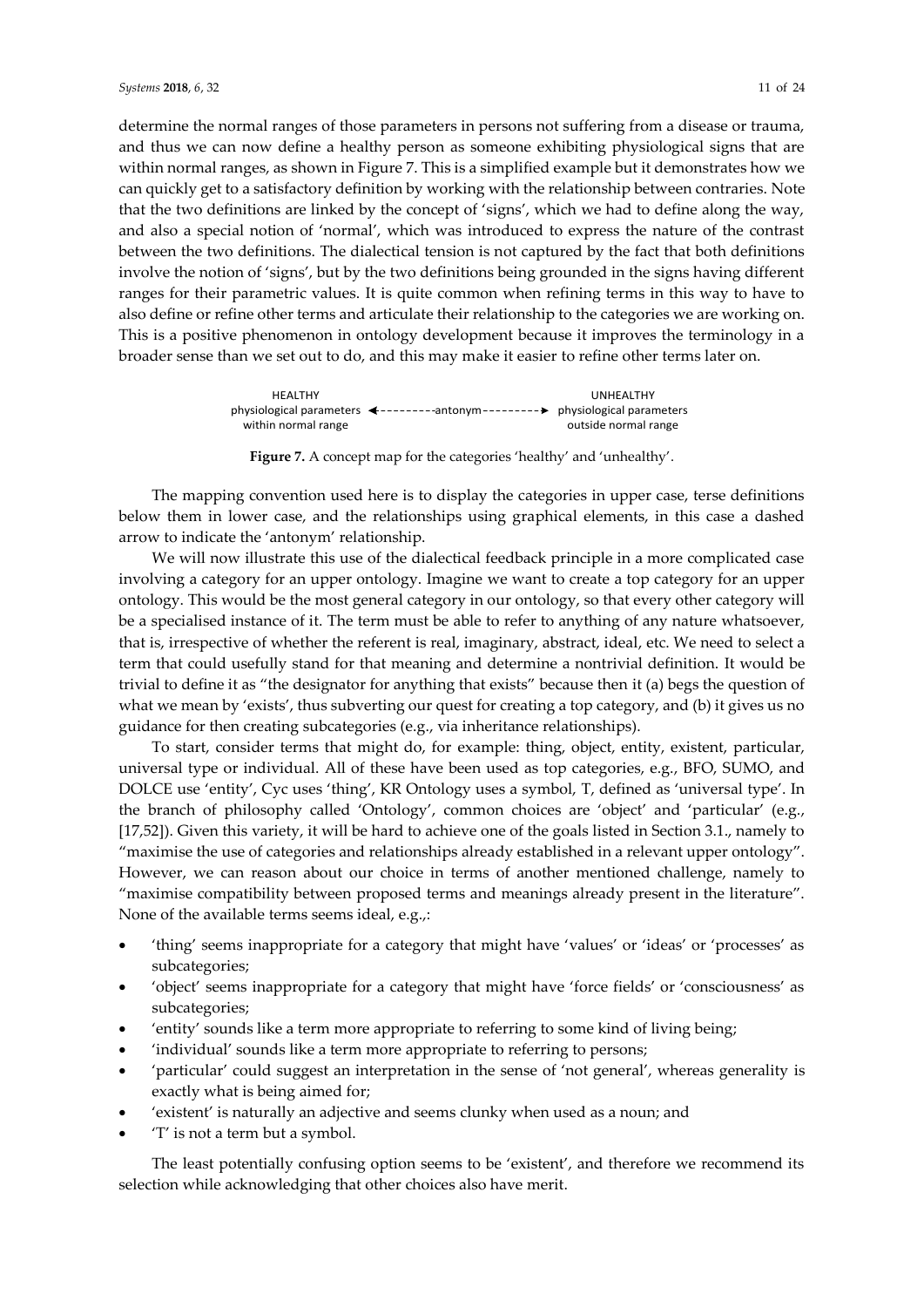determine the normal ranges of those parameters in persons not suffering from a disease or trauma, and thus we can now define a healthy person as someone exhibiting physiological signs that are within normal ranges, as shown in Figure 7. This is a simplified example but it demonstrates how we can quickly get to a satisfactory definition by working with the relationship between contraries. Note that the two definitions are linked by the concept of 'signs', which we had to define along the way, and also a special notion of 'normal', which was introduced to express the nature of the contrast between the two definitions. The dialectical tension is not captured by the fact that both definitions involve the notion of 'signs', but by the two definitions being grounded in the signs having different ranges for their parametric values. It is quite common when refining terms in this way to have to also define or refine other terms and articulate their relationship to the categories we are working on. This is a positive phenomenon in ontology development because it improves the terminology in a broader sense than we set out to do, and this may make it easier to refine other terms later on.

| HEALTHY             |                                                                                          | <b>UNHEALTHY</b>     |
|---------------------|------------------------------------------------------------------------------------------|----------------------|
| within normal range | physiological parameters $\leftarrow$ ---------antonym--------> physiological parameters | outside normal range |
|                     |                                                                                          |                      |

**Figure 7.** A concept map for the categories 'healthy' and 'unhealthy'.

The mapping convention used here is to display the categories in upper case, terse definitions below them in lower case, and the relationships using graphical elements, in this case a dashed arrow to indicate the 'antonym' relationship.

We will now illustrate this use of the dialectical feedback principle in a more complicated case involving a category for an upper ontology. Imagine we want to create a top category for an upper ontology. This would be the most general category in our ontology, so that every other category will be a specialised instance of it. The term must be able to refer to anything of any nature whatsoever, that is, irrespective of whether the referent is real, imaginary, abstract, ideal, etc. We need to select a term that could usefully stand for that meaning and determine a nontrivial definition. It would be trivial to define it as "the designator for anything that exists" because then it (a) begs the question of what we mean by 'exists', thus subverting our quest for creating a top category, and (b) it gives us no guidance for then creating subcategories (e.g., via inheritance relationships).

To start, consider terms that might do, for example: thing, object, entity, existent, particular, universal type or individual. All of these have been used as top categories, e.g., BFO, SUMO, and DOLCE use 'entity', Cyc uses 'thing', KR Ontology uses a symbol, T, defined as 'universal type'. In the branch of philosophy called 'Ontology', common choices are 'object' and 'particular' (e.g., [17,52]). Given this variety, it will be hard to achieve one of the goals listed in Section 3.1., namely to "maximise the use of categories and relationships already established in a relevant upper ontology". However, we can reason about our choice in terms of another mentioned challenge, namely to "maximise compatibility between proposed terms and meanings already present in the literature". None of the available terms seems ideal, e.g.,:

- 'thing' seems inappropriate for a category that might have 'values' or 'ideas' or 'processes' as subcategories;
- 'object' seems inappropriate for a category that might have 'force fields' or 'consciousness' as subcategories;
- 'entity' sounds like a term more appropriate to referring to some kind of living being;
- 'individual' sounds like a term more appropriate to referring to persons;
- 'particular' could suggest an interpretation in the sense of 'not general', whereas generality is exactly what is being aimed for;
- 'existent' is naturally an adjective and seems clunky when used as a noun; and
- 'T' is not a term but a symbol.

The least potentially confusing option seems to be 'existent', and therefore we recommend its selection while acknowledging that other choices also have merit.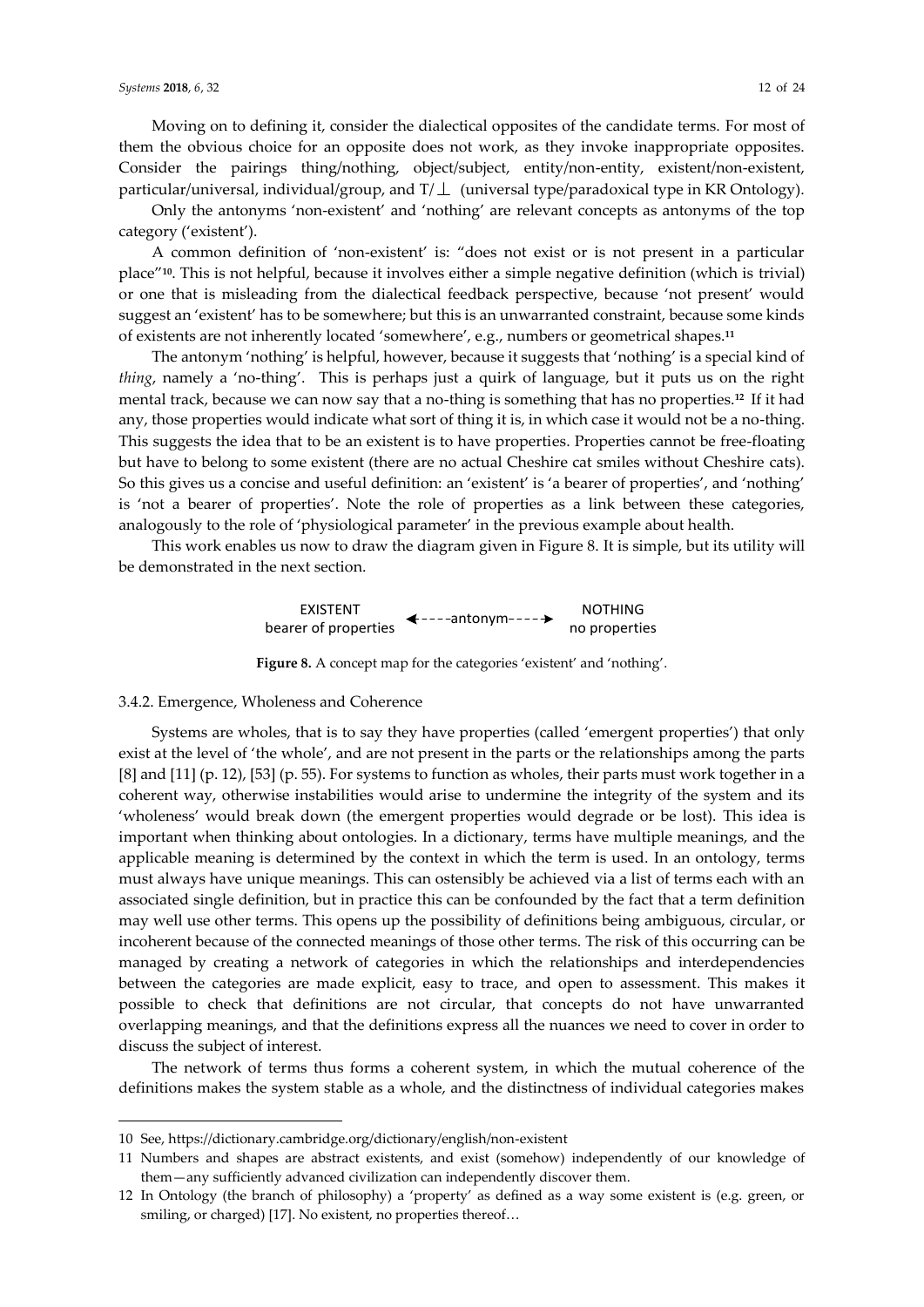Moving on to defining it, consider the dialectical opposites of the candidate terms. For most of them the obvious choice for an opposite does not work, as they invoke inappropriate opposites. Consider the pairings thing/nothing, object/subject, entity/non-entity, existent/non-existent, particular/universal, individual/group, and T/⊥ (universal type/paradoxical type in KR Ontology).

Only the antonyms 'non-existent' and 'nothing' are relevant concepts as antonyms of the top category ('existent').

A common definition of 'non-existent' is: "does not exist or is not present in a particular place"**<sup>10</sup>** . This is not helpful, because it involves either a simple negative definition (which is trivial) or one that is misleading from the dialectical feedback perspective, because 'not present' would suggest an 'existent' has to be somewhere; but this is an unwarranted constraint, because some kinds of existents are not inherently located 'somewhere', e.g., numbers or geometrical shapes.**<sup>11</sup>**

The antonym 'nothing' is helpful, however, because it suggests that 'nothing' is a special kind of *thing*, namely a 'no-thing'. This is perhaps just a quirk of language, but it puts us on the right mental track, because we can now say that a no-thing is something that has no properties.**<sup>12</sup>** If it had any, those properties would indicate what sort of thing it is, in which case it would not be a no-thing. This suggests the idea that to be an existent is to have properties. Properties cannot be free-floating but have to belong to some existent (there are no actual Cheshire cat smiles without Cheshire cats). So this gives us a concise and useful definition: an 'existent' is 'a bearer of properties', and 'nothing' is 'not a bearer of properties'. Note the role of properties as a link between these categories, analogously to the role of 'physiological parameter' in the previous example about health.

This work enables us now to draw the diagram given in Figure 8. It is simple, but its utility will be demonstrated in the next section.



**Figure 8.** A concept map for the categories 'existent' and 'nothing'.

#### 3.4.2. Emergence, Wholeness and Coherence

Systems are wholes, that is to say they have properties (called 'emergent properties') that only exist at the level of 'the whole', and are not present in the parts or the relationships among the parts [8] and  $[11]$  (p. 12),  $[53]$  (p. 55). For systems to function as wholes, their parts must work together in a coherent way, otherwise instabilities would arise to undermine the integrity of the system and its 'wholeness' would break down (the emergent properties would degrade or be lost). This idea is important when thinking about ontologies. In a dictionary, terms have multiple meanings, and the applicable meaning is determined by the context in which the term is used. In an ontology, terms must always have unique meanings. This can ostensibly be achieved via a list of terms each with an associated single definition, but in practice this can be confounded by the fact that a term definition may well use other terms. This opens up the possibility of definitions being ambiguous, circular, or incoherent because of the connected meanings of those other terms. The risk of this occurring can be managed by creating a network of categories in which the relationships and interdependencies between the categories are made explicit, easy to trace, and open to assessment. This makes it possible to check that definitions are not circular, that concepts do not have unwarranted overlapping meanings, and that the definitions express all the nuances we need to cover in order to discuss the subject of interest. EXISTENT<br> **EXISTENT**<br> **Existence of properties**  $\bullet$  ----antonym-<br> **Figure 8.** A concept map for the categories<br>
2. Emergence, Wholeness and Coherence<br>
Systems are wholes, that is to say they have properties<br>
at at the le

The network of terms thus forms a coherent system, in which the mutual coherence of the definitions makes the system stable as a whole, and the distinctness of individual categories makes

 $\overline{a}$ 

<sup>10</sup> See, https://dictionary.cambridge.org/dictionary/english/non-existent

<sup>11</sup> Numbers and shapes are abstract existents, and exist (somehow) independently of our knowledge of them—any sufficiently advanced civilization can independently discover them.

<sup>12</sup> In Ontology (the branch of philosophy) a 'property' as defined as a way some existent is (e.g. green, or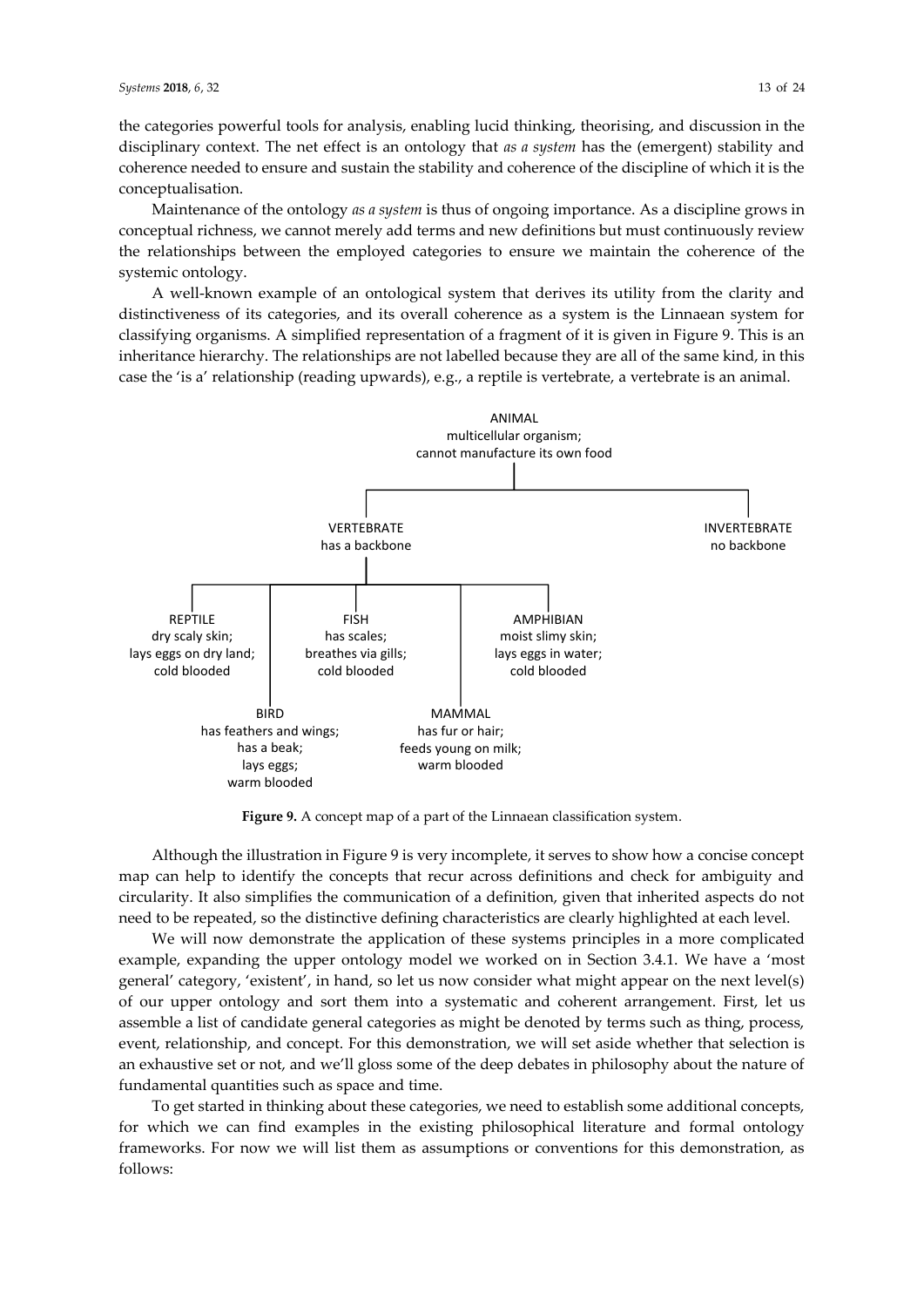the categories powerful tools for analysis, enabling lucid thinking, theorising, and discussion in the disciplinary context. The net effect is an ontology that *as a system* has the (emergent) stability and coherence needed to ensure and sustain the stability and coherence of the discipline of which it is the conceptualisation.

Maintenance of the ontology *as a system* is thus of ongoing importance. As a discipline grows in conceptual richness, we cannot merely add terms and new definitions but must continuously review the relationships between the employed categories to ensure we maintain the coherence of the systemic ontology.

A well-known example of an ontological system that derives its utility from the clarity and distinctiveness of its categories, and its overall coherence as a system is the Linnaean system for classifying organisms. A simplified representation of a fragment of it is given in Figure 9. This is an inheritance hierarchy. The relationships are not labelled because they are all of the same kind, in this case the 'is a' relationship (reading upwards), e.g., a reptile is vertebrate, a vertebrate is an animal.



**Figure 9.** A concept map of a part of the Linnaean classification system.

Although the illustration in Figure 9 is very incomplete, it serves to show how a concise concept map can help to identify the concepts that recur across definitions and check for ambiguity and circularity. It also simplifies the communication of a definition, given that inherited aspects do not need to be repeated, so the distinctive defining characteristics are clearly highlighted at each level.

We will now demonstrate the application of these systems principles in a more complicated example, expanding the upper ontology model we worked on in Section 3.4.1. We have a 'most general' category, 'existent', in hand, so let us now consider what might appear on the next level(s) of our upper ontology and sort them into a systematic and coherent arrangement. First, let us assemble a list of candidate general categories as might be denoted by terms such as thing, process, event, relationship, and concept. For this demonstration, we will set aside whether that selection is an exhaustive set or not, and we'll gloss some of the deep debates in philosophy about the nature of fundamental quantities such as space and time.

To get started in thinking about these categories, we need to establish some additional concepts, for which we can find examples in the existing philosophical literature and formal ontology frameworks. For now we will list them as assumptions or conventions for this demonstration, as follows: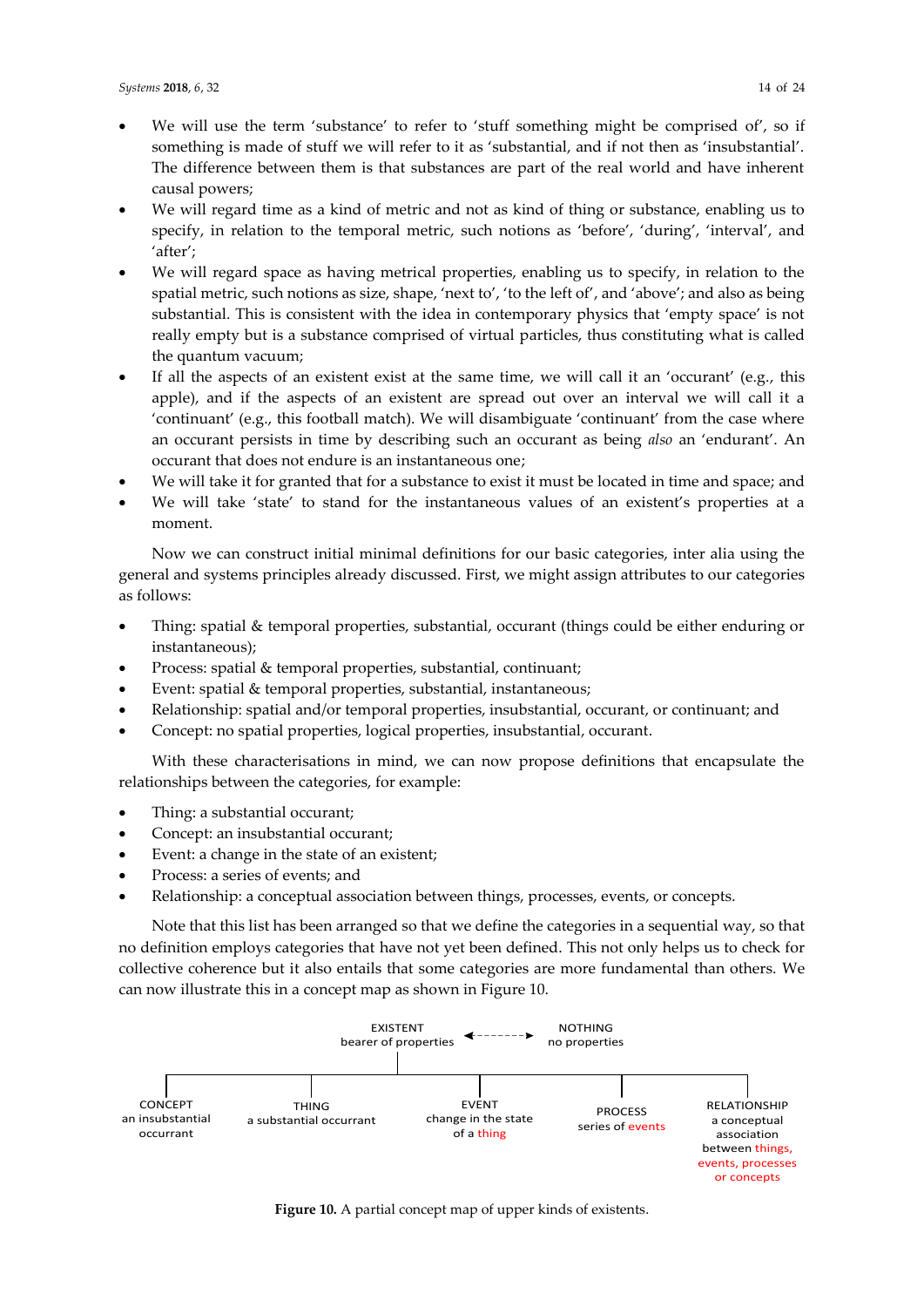- We will use the term 'substance' to refer to 'stuff something might be comprised of', so if something is made of stuff we will refer to it as 'substantial, and if not then as 'insubstantial'. The difference between them is that substances are part of the real world and have inherent causal powers;
- We will regard time as a kind of metric and not as kind of thing or substance, enabling us to specify, in relation to the temporal metric, such notions as 'before', 'during', 'interval', and 'after';
- We will regard space as having metrical properties, enabling us to specify, in relation to the spatial metric, such notions as size, shape, 'next to', 'to the left of', and 'above'; and also as being substantial. This is consistent with the idea in contemporary physics that 'empty space' is not really empty but is a substance comprised of virtual particles, thus constituting what is called the quantum vacuum;
- If all the aspects of an existent exist at the same time, we will call it an 'occurant' (e.g., this apple), and if the aspects of an existent are spread out over an interval we will call it a 'continuant' (e.g., this football match). We will disambiguate 'continuant' from the case where an occurant persists in time by describing such an occurant as being *also* an 'endurant'. An occurant that does not endure is an instantaneous one;
- We will take it for granted that for a substance to exist it must be located in time and space; and
- We will take 'state' to stand for the instantaneous values of an existent's properties at a moment.

Now we can construct initial minimal definitions for our basic categories, inter alia using the general and systems principles already discussed. First, we might assign attributes to our categories as follows:

- Thing: spatial & temporal properties, substantial, occurant (things could be either enduring or instantaneous);
- Process: spatial & temporal properties, substantial, continuant;
- Event: spatial & temporal properties, substantial, instantaneous;
- Relationship: spatial and/or temporal properties, insubstantial, occurant, or continuant; and
- Concept: no spatial properties, logical properties, insubstantial, occurant.

With these characterisations in mind, we can now propose definitions that encapsulate the relationships between the categories, for example:

- Thing: a substantial occurant;
- Concept: an insubstantial occurant;
- Event: a change in the state of an existent;
- Process: a series of events; and
- Relationship: a conceptual association between things, processes, events, or concepts.

Note that this list has been arranged so that we define the categories in a sequential way, so that no definition employs categories that have not yet been defined. This not only helps us to check for collective coherence but it also entails that some categories are more fundamental than others. We can now illustrate this in a concept map as shown in Figure 10.



**Figure 10.** A partial concept map of upper kinds of existents.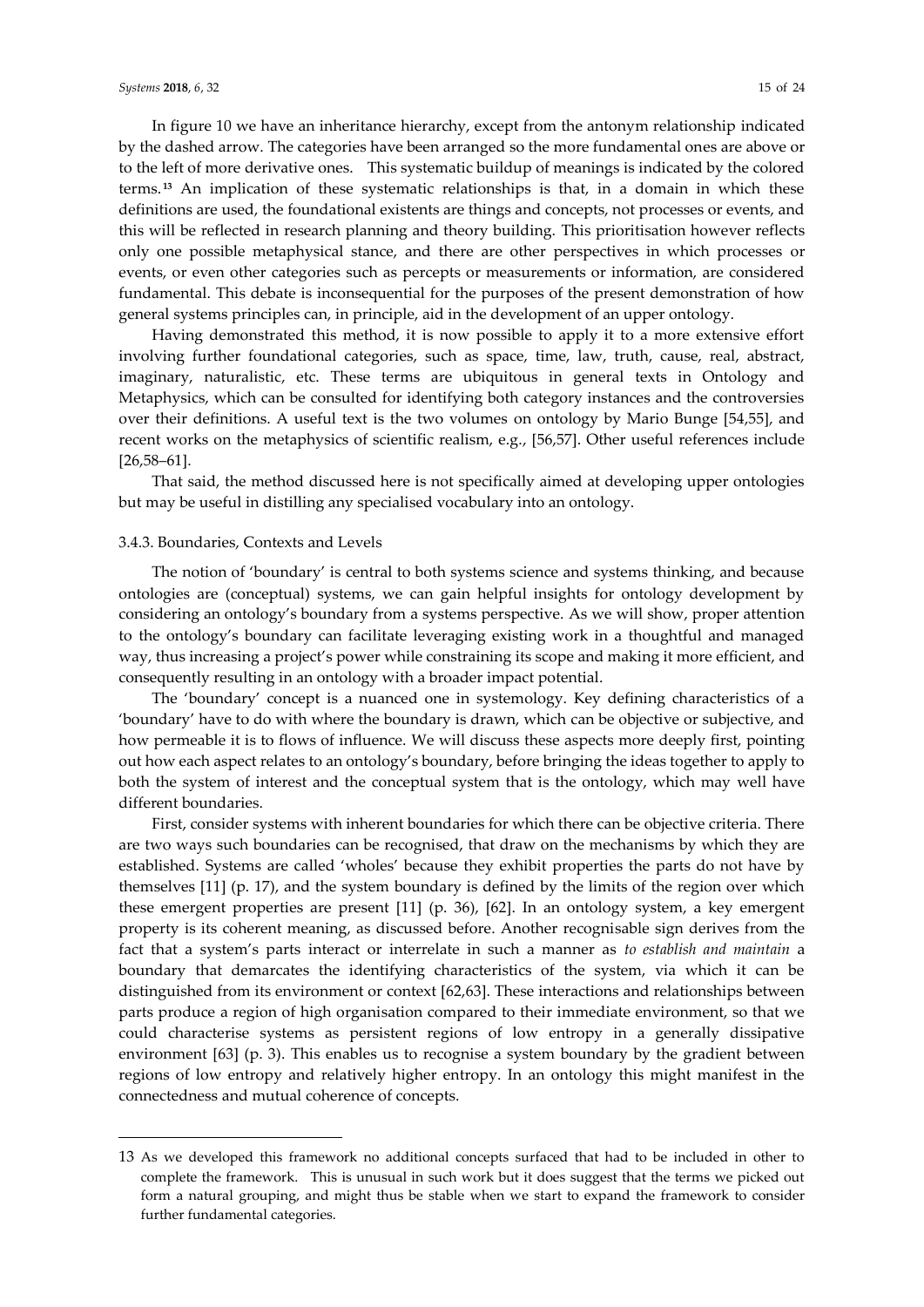In figure 10 we have an inheritance hierarchy, except from the antonym relationship indicated by the dashed arrow. The categories have been arranged so the more fundamental ones are above or to the left of more derivative ones. This systematic buildup of meanings is indicated by the colored terms. **<sup>13</sup>** An implication of these systematic relationships is that, in a domain in which these definitions are used, the foundational existents are things and concepts, not processes or events, and this will be reflected in research planning and theory building. This prioritisation however reflects only one possible metaphysical stance, and there are other perspectives in which processes or events, or even other categories such as percepts or measurements or information, are considered fundamental. This debate is inconsequential for the purposes of the present demonstration of how general systems principles can, in principle, aid in the development of an upper ontology.

Having demonstrated this method, it is now possible to apply it to a more extensive effort involving further foundational categories, such as space, time, law, truth, cause, real, abstract, imaginary, naturalistic, etc. These terms are ubiquitous in general texts in Ontology and Metaphysics, which can be consulted for identifying both category instances and the controversies over their definitions. A useful text is the two volumes on ontology by Mario Bunge [54,55], and recent works on the metaphysics of scientific realism, e.g., [56,57]. Other useful references include [26,58–61].

That said, the method discussed here is not specifically aimed at developing upper ontologies but may be useful in distilling any specialised vocabulary into an ontology.

## 3.4.3. Boundaries, Contexts and Levels

 $\overline{a}$ 

The notion of 'boundary' is central to both systems science and systems thinking, and because ontologies are (conceptual) systems, we can gain helpful insights for ontology development by considering an ontology's boundary from a systems perspective. As we will show, proper attention to the ontology's boundary can facilitate leveraging existing work in a thoughtful and managed way, thus increasing a project's power while constraining its scope and making it more efficient, and consequently resulting in an ontology with a broader impact potential.

The 'boundary' concept is a nuanced one in systemology. Key defining characteristics of a 'boundary' have to do with where the boundary is drawn, which can be objective or subjective, and how permeable it is to flows of influence. We will discuss these aspects more deeply first, pointing out how each aspect relates to an ontology's boundary, before bringing the ideas together to apply to both the system of interest and the conceptual system that is the ontology, which may well have different boundaries.

First, consider systems with inherent boundaries for which there can be objective criteria. There are two ways such boundaries can be recognised, that draw on the mechanisms by which they are established. Systems are called 'wholes' because they exhibit properties the parts do not have by themselves [11] (p. 17), and the system boundary is defined by the limits of the region over which these emergent properties are present [11] (p. 36), [62]. In an ontology system, a key emergent property is its coherent meaning, as discussed before. Another recognisable sign derives from the fact that a system's parts interact or interrelate in such a manner as *to establish and maintain* a boundary that demarcates the identifying characteristics of the system, via which it can be distinguished from its environment or context [62,63]. These interactions and relationships between parts produce a region of high organisation compared to their immediate environment, so that we could characterise systems as persistent regions of low entropy in a generally dissipative environment [63] (p. 3). This enables us to recognise a system boundary by the gradient between regions of low entropy and relatively higher entropy. In an ontology this might manifest in the connectedness and mutual coherence of concepts.

<sup>13</sup> As we developed this framework no additional concepts surfaced that had to be included in other to complete the framework. This is unusual in such work but it does suggest that the terms we picked out form a natural grouping, and might thus be stable when we start to expand the framework to consider further fundamental categories.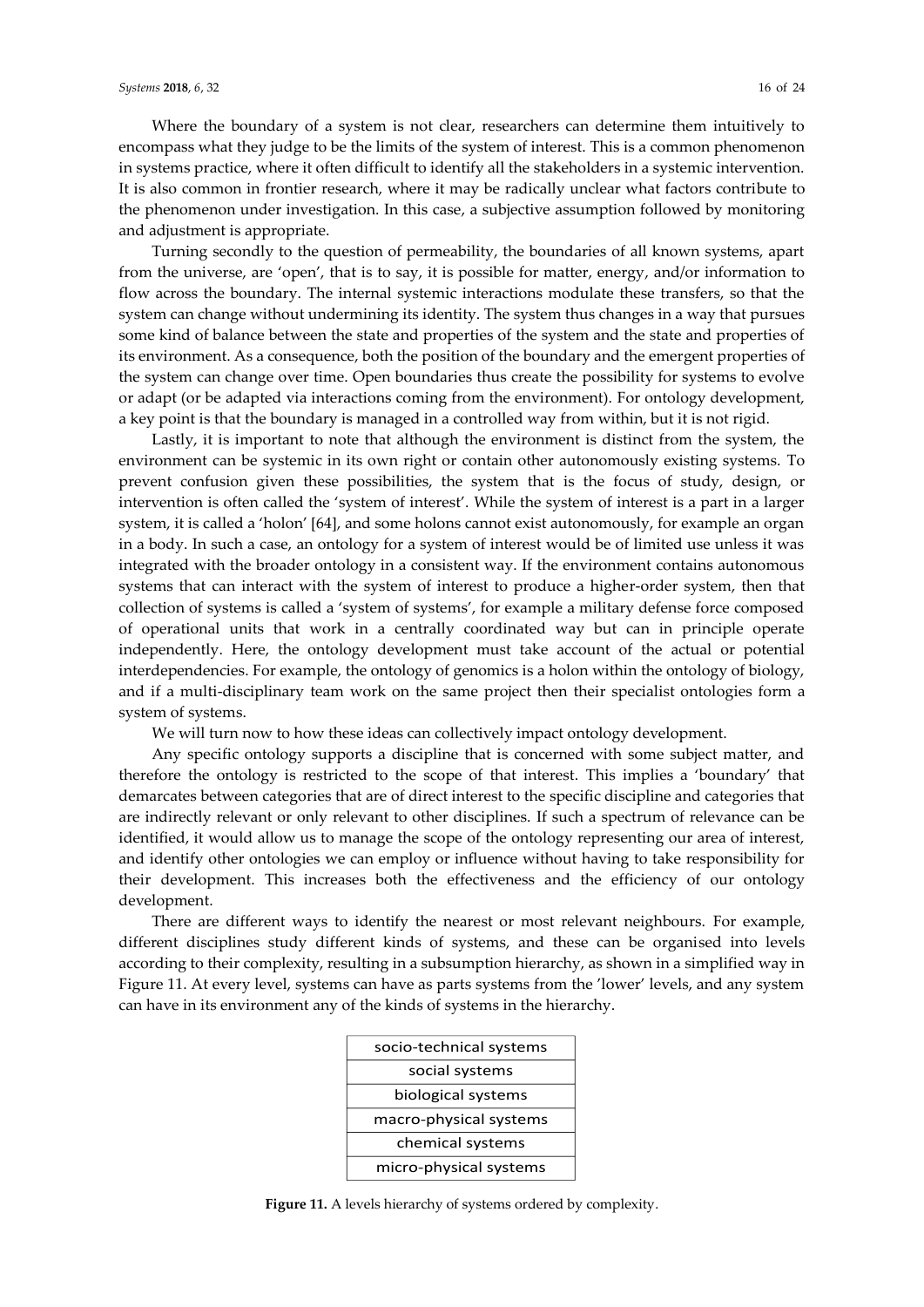Where the boundary of a system is not clear, researchers can determine them intuitively to encompass what they judge to be the limits of the system of interest. This is a common phenomenon in systems practice, where it often difficult to identify all the stakeholders in a systemic intervention. It is also common in frontier research, where it may be radically unclear what factors contribute to the phenomenon under investigation. In this case, a subjective assumption followed by monitoring and adjustment is appropriate.

Turning secondly to the question of permeability, the boundaries of all known systems, apart from the universe, are 'open', that is to say, it is possible for matter, energy, and/or information to flow across the boundary. The internal systemic interactions modulate these transfers, so that the system can change without undermining its identity. The system thus changes in a way that pursues some kind of balance between the state and properties of the system and the state and properties of its environment. As a consequence, both the position of the boundary and the emergent properties of the system can change over time. Open boundaries thus create the possibility for systems to evolve or adapt (or be adapted via interactions coming from the environment). For ontology development, a key point is that the boundary is managed in a controlled way from within, but it is not rigid.

Lastly, it is important to note that although the environment is distinct from the system, the environment can be systemic in its own right or contain other autonomously existing systems. To prevent confusion given these possibilities, the system that is the focus of study, design, or intervention is often called the 'system of interest'. While the system of interest is a part in a larger system, it is called a 'holon' [64], and some holons cannot exist autonomously, for example an organ in a body. In such a case, an ontology for a system of interest would be of limited use unless it was integrated with the broader ontology in a consistent way. If the environment contains autonomous systems that can interact with the system of interest to produce a higher-order system, then that collection of systems is called a 'system of systems', for example a military defense force composed of operational units that work in a centrally coordinated way but can in principle operate independently. Here, the ontology development must take account of the actual or potential interdependencies. For example, the ontology of genomics is a holon within the ontology of biology, and if a multi-disciplinary team work on the same project then their specialist ontologies form a system of systems.

We will turn now to how these ideas can collectively impact ontology development.

Any specific ontology supports a discipline that is concerned with some subject matter, and therefore the ontology is restricted to the scope of that interest. This implies a 'boundary' that demarcates between categories that are of direct interest to the specific discipline and categories that are indirectly relevant or only relevant to other disciplines. If such a spectrum of relevance can be identified, it would allow us to manage the scope of the ontology representing our area of interest, and identify other ontologies we can employ or influence without having to take responsibility for their development. This increases both the effectiveness and the efficiency of our ontology development.

There are different ways to identify the nearest or most relevant neighbours. For example, different disciplines study different kinds of systems, and these can be organised into levels according to their complexity, resulting in a subsumption hierarchy, as shown in a simplified way in Figure 11. At every level, systems can have as parts systems from the 'lower' levels, and any system can have in its environment any of the kinds of systems in the hierarchy.



**Figure 11.** A levels hierarchy of systems ordered by complexity.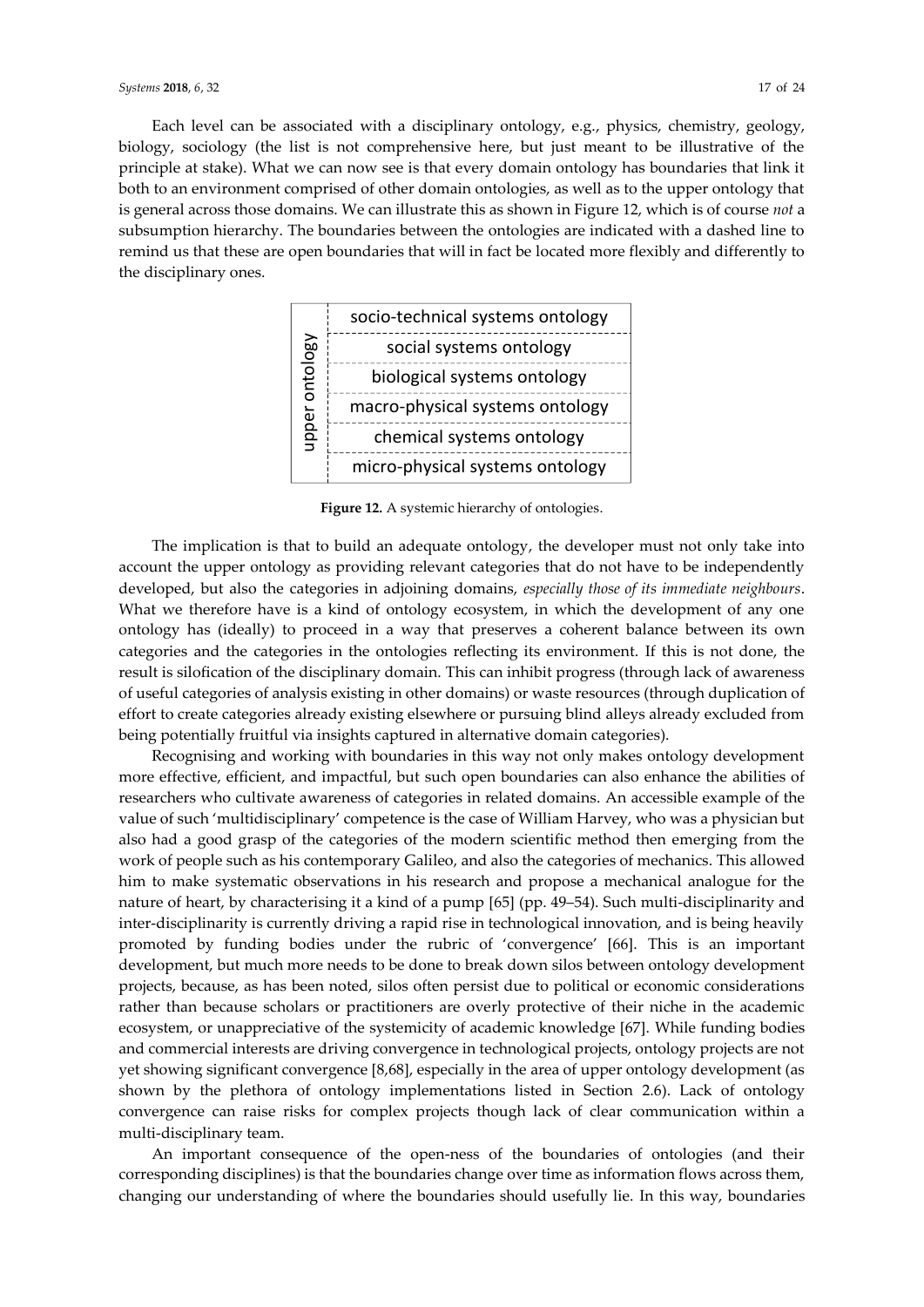Each level can be associated with a disciplinary ontology, e.g., physics, chemistry, geology, biology, sociology (the list is not comprehensive here, but just meant to be illustrative of the principle at stake). What we can now see is that every domain ontology has boundaries that link it both to an environment comprised of other domain ontologies, as well as to the upper ontology that is general across those domains. We can illustrate this as shown in Figure 12, which is of course *not* a subsumption hierarchy. The boundaries between the ontologies are indicated with a dashed line to remind us that these are open boundaries that will in fact be located more flexibly and differently to the disciplinary ones.



**Figure 12.** A systemic hierarchy of ontologies.

The implication is that to build an adequate ontology, the developer must not only take into account the upper ontology as providing relevant categories that do not have to be independently developed, but also the categories in adjoining domains, *especially those of its immediate neighbours*. What we therefore have is a kind of ontology ecosystem, in which the development of any one ontology has (ideally) to proceed in a way that preserves a coherent balance between its own categories and the categories in the ontologies reflecting its environment. If this is not done, the result is silofication of the disciplinary domain. This can inhibit progress (through lack of awareness of useful categories of analysis existing in other domains) or waste resources (through duplication of effort to create categories already existing elsewhere or pursuing blind alleys already excluded from being potentially fruitful via insights captured in alternative domain categories).

Recognising and working with boundaries in this way not only makes ontology development more effective, efficient, and impactful, but such open boundaries can also enhance the abilities of researchers who cultivate awareness of categories in related domains. An accessible example of the value of such 'multidisciplinary' competence is the case of William Harvey, who was a physician but also had a good grasp of the categories of the modern scientific method then emerging from the work of people such as his contemporary Galileo, and also the categories of mechanics. This allowed him to make systematic observations in his research and propose a mechanical analogue for the nature of heart, by characterising it a kind of a pump [65] (pp. 49–54). Such multi-disciplinarity and inter-disciplinarity is currently driving a rapid rise in technological innovation, and is being heavily promoted by funding bodies under the rubric of 'convergence' [66]. This is an important development, but much more needs to be done to break down silos between ontology development projects, because, as has been noted, silos often persist due to political or economic considerations rather than because scholars or practitioners are overly protective of their niche in the academic ecosystem, or unappreciative of the systemicity of academic knowledge [67]. While funding bodies and commercial interests are driving convergence in technological projects, ontology projects are not yet showing significant convergence [8,68], especially in the area of upper ontology development (as shown by the plethora of ontology implementations listed in Section 2.6). Lack of ontology convergence can raise risks for complex projects though lack of clear communication within a multi-disciplinary team.

An important consequence of the open-ness of the boundaries of ontologies (and their corresponding disciplines) is that the boundaries change over time as information flows across them, changing our understanding of where the boundaries should usefully lie. In this way, boundaries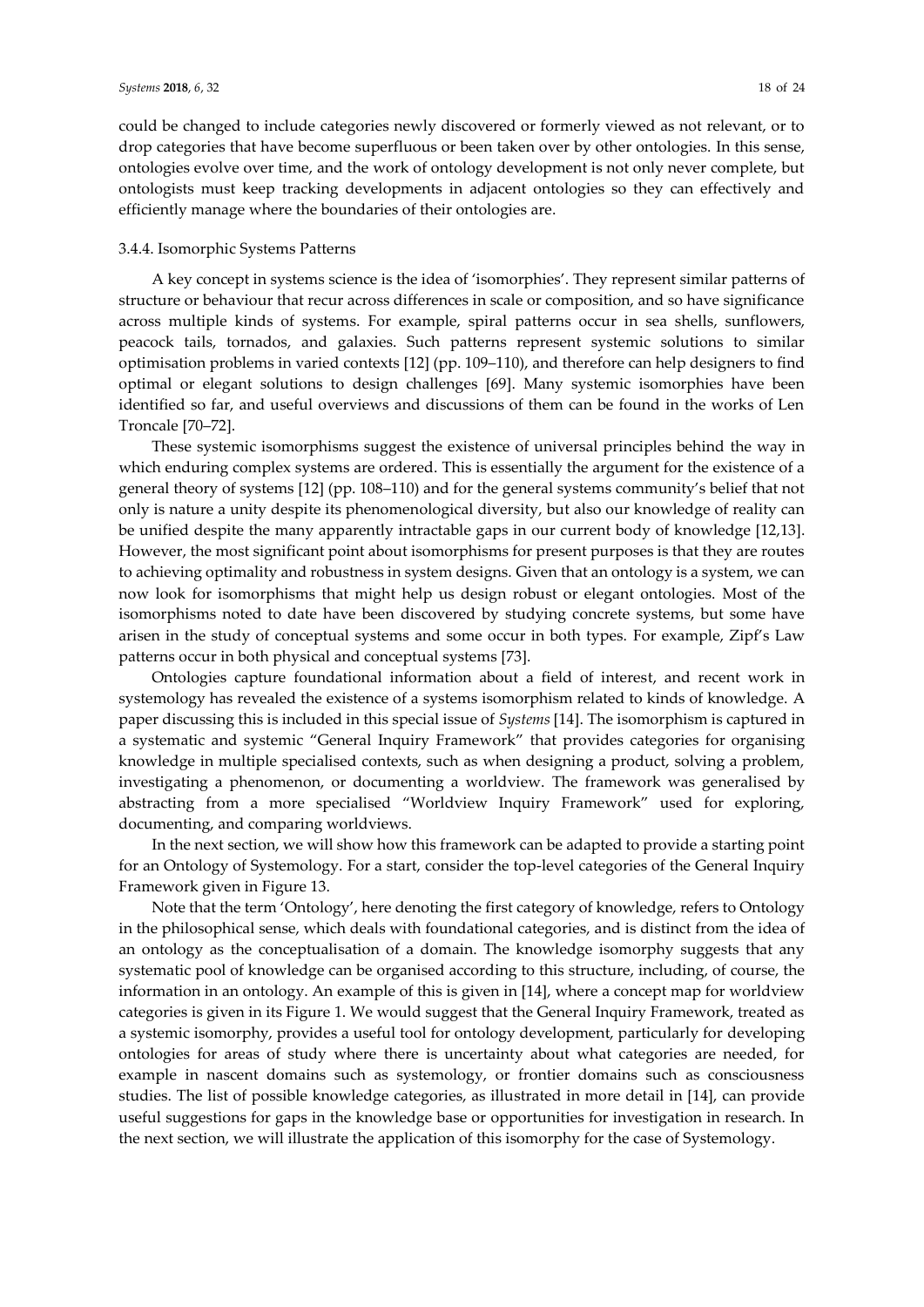could be changed to include categories newly discovered or formerly viewed as not relevant, or to drop categories that have become superfluous or been taken over by other ontologies. In this sense, ontologies evolve over time, and the work of ontology development is not only never complete, but ontologists must keep tracking developments in adjacent ontologies so they can effectively and efficiently manage where the boundaries of their ontologies are.

#### 3.4.4. Isomorphic Systems Patterns

A key concept in systems science is the idea of 'isomorphies'. They represent similar patterns of structure or behaviour that recur across differences in scale or composition, and so have significance across multiple kinds of systems. For example, spiral patterns occur in sea shells, sunflowers, peacock tails, tornados, and galaxies. Such patterns represent systemic solutions to similar optimisation problems in varied contexts [12] (pp. 109–110), and therefore can help designers to find optimal or elegant solutions to design challenges [69]. Many systemic isomorphies have been identified so far, and useful overviews and discussions of them can be found in the works of Len Troncale [70–72].

These systemic isomorphisms suggest the existence of universal principles behind the way in which enduring complex systems are ordered. This is essentially the argument for the existence of a general theory of systems [12] (pp. 108–110) and for the general systems community's belief that not only is nature a unity despite its phenomenological diversity, but also our knowledge of reality can be unified despite the many apparently intractable gaps in our current body of knowledge [12,13]. However, the most significant point about isomorphisms for present purposes is that they are routes to achieving optimality and robustness in system designs. Given that an ontology is a system, we can now look for isomorphisms that might help us design robust or elegant ontologies. Most of the isomorphisms noted to date have been discovered by studying concrete systems, but some have arisen in the study of conceptual systems and some occur in both types. For example, Zipf's Law patterns occur in both physical and conceptual systems [73].

Ontologies capture foundational information about a field of interest, and recent work in systemology has revealed the existence of a systems isomorphism related to kinds of knowledge. A paper discussing this is included in this special issue of *Systems* [14]. The isomorphism is captured in a systematic and systemic "General Inquiry Framework" that provides categories for organising knowledge in multiple specialised contexts, such as when designing a product, solving a problem, investigating a phenomenon, or documenting a worldview. The framework was generalised by abstracting from a more specialised "Worldview Inquiry Framework" used for exploring, documenting, and comparing worldviews.

In the next section, we will show how this framework can be adapted to provide a starting point for an Ontology of Systemology. For a start, consider the top-level categories of the General Inquiry Framework given in Figure 13.

Note that the term 'Ontology', here denoting the first category of knowledge, refers to Ontology in the philosophical sense, which deals with foundational categories, and is distinct from the idea of an ontology as the conceptualisation of a domain. The knowledge isomorphy suggests that any systematic pool of knowledge can be organised according to this structure, including, of course, the information in an ontology. An example of this is given in [14], where a concept map for worldview categories is given in its Figure 1. We would suggest that the General Inquiry Framework, treated as a systemic isomorphy, provides a useful tool for ontology development, particularly for developing ontologies for areas of study where there is uncertainty about what categories are needed, for example in nascent domains such as systemology, or frontier domains such as consciousness studies. The list of possible knowledge categories, as illustrated in more detail in [14], can provide useful suggestions for gaps in the knowledge base or opportunities for investigation in research. In the next section, we will illustrate the application of this isomorphy for the case of Systemology.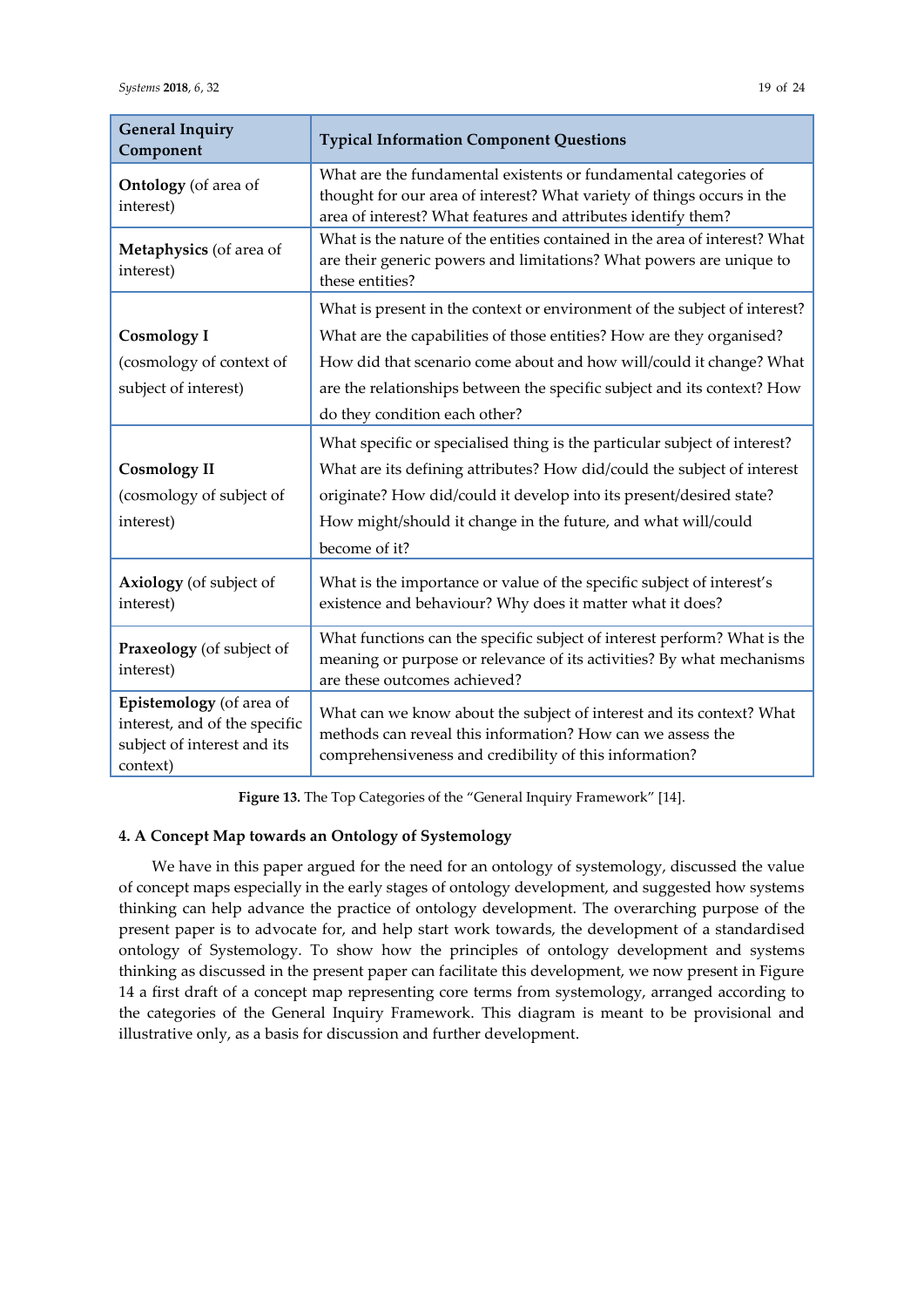| <b>General Inquiry</b><br>Component                                                                  | <b>Typical Information Component Questions</b>                                                                                                                                                                                                                                                                                       |  |
|------------------------------------------------------------------------------------------------------|--------------------------------------------------------------------------------------------------------------------------------------------------------------------------------------------------------------------------------------------------------------------------------------------------------------------------------------|--|
| <b>Ontology</b> (of area of<br>interest)                                                             | What are the fundamental existents or fundamental categories of<br>thought for our area of interest? What variety of things occurs in the<br>area of interest? What features and attributes identify them?                                                                                                                           |  |
| Metaphysics (of area of<br>interest)                                                                 | What is the nature of the entities contained in the area of interest? What<br>are their generic powers and limitations? What powers are unique to<br>these entities?                                                                                                                                                                 |  |
| <b>Cosmology I</b><br>(cosmology of context of<br>subject of interest)                               | What is present in the context or environment of the subject of interest?<br>What are the capabilities of those entities? How are they organised?<br>How did that scenario come about and how will/could it change? What<br>are the relationships between the specific subject and its context? How<br>do they condition each other? |  |
| <b>Cosmology II</b><br>(cosmology of subject of<br>interest)                                         | What specific or specialised thing is the particular subject of interest?<br>What are its defining attributes? How did/could the subject of interest<br>originate? How did/could it develop into its present/desired state?<br>How might/should it change in the future, and what will/could<br>become of it?                        |  |
| <b>Axiology</b> (of subject of<br>interest)                                                          | What is the importance or value of the specific subject of interest's<br>existence and behaviour? Why does it matter what it does?                                                                                                                                                                                                   |  |
| Praxeology (of subject of<br>interest)                                                               | What functions can the specific subject of interest perform? What is the<br>meaning or purpose or relevance of its activities? By what mechanisms<br>are these outcomes achieved?                                                                                                                                                    |  |
| Epistemology (of area of<br>interest, and of the specific<br>subject of interest and its<br>context) | What can we know about the subject of interest and its context? What<br>methods can reveal this information? How can we assess the<br>comprehensiveness and credibility of this information?                                                                                                                                         |  |

**Figure 13.** The Top Categories of the "General Inquiry Framework" [14].

## **4. A Concept Map towards an Ontology of Systemology**

We have in this paper argued for the need for an ontology of systemology, discussed the value of concept maps especially in the early stages of ontology development, and suggested how systems thinking can help advance the practice of ontology development. The overarching purpose of the present paper is to advocate for, and help start work towards, the development of a standardised ontology of Systemology. To show how the principles of ontology development and systems thinking as discussed in the present paper can facilitate this development, we now present in Figure 14 a first draft of a concept map representing core terms from systemology, arranged according to the categories of the General Inquiry Framework. This diagram is meant to be provisional and illustrative only, as a basis for discussion and further development.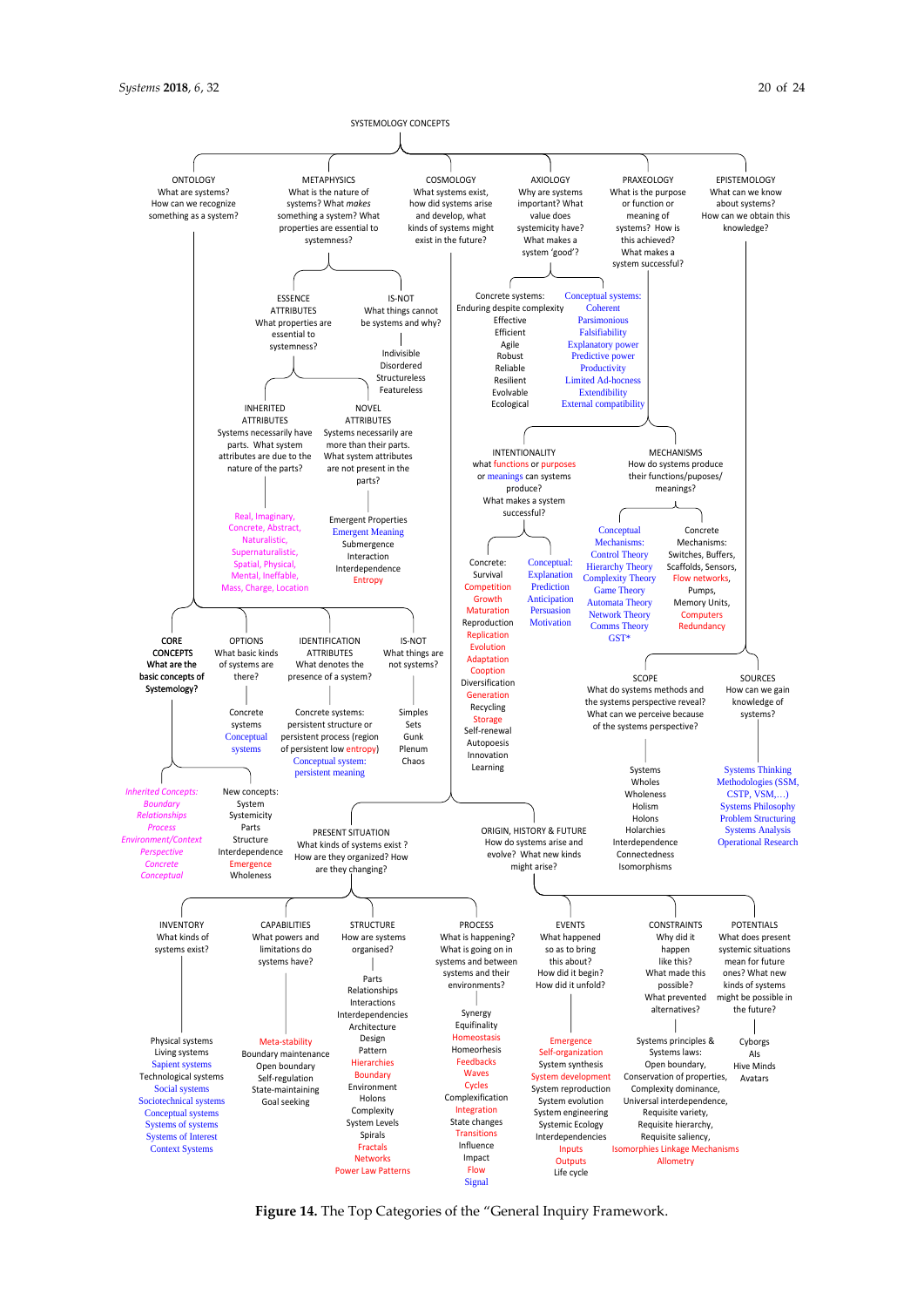

**Figure 14.** The Top Categories of the "General Inquiry Framework.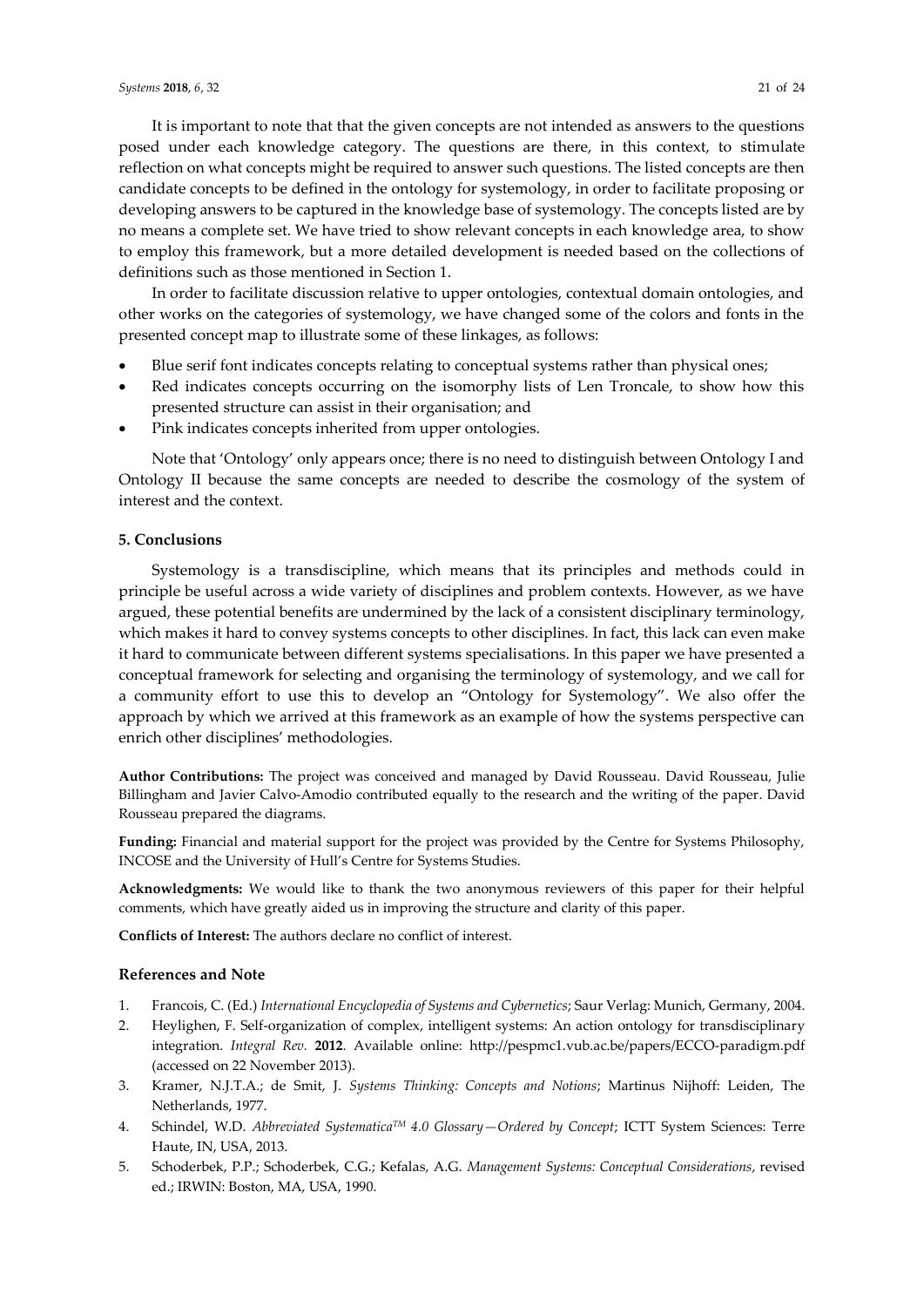It is important to note that that the given concepts are not intended as answers to the questions posed under each knowledge category. The questions are there, in this context, to stimulate reflection on what concepts might be required to answer such questions. The listed concepts are then candidate concepts to be defined in the ontology for systemology, in order to facilitate proposing or developing answers to be captured in the knowledge base of systemology. The concepts listed are by no means a complete set. We have tried to show relevant concepts in each knowledge area, to show to employ this framework, but a more detailed development is needed based on the collections of

In order to facilitate discussion relative to upper ontologies, contextual domain ontologies, and other works on the categories of systemology, we have changed some of the colors and fonts in the presented concept map to illustrate some of these linkages, as follows:

- Blue serif font indicates concepts relating to conceptual systems rather than physical ones;
- Red indicates concepts occurring on the isomorphy lists of Len Troncale, to show how this presented structure can assist in their organisation; and
- Pink indicates concepts inherited from upper ontologies.

definitions such as those mentioned in Section 1.

Note that 'Ontology' only appears once; there is no need to distinguish between Ontology I and Ontology II because the same concepts are needed to describe the cosmology of the system of interest and the context.

#### **5. Conclusions**

Systemology is a transdiscipline, which means that its principles and methods could in principle be useful across a wide variety of disciplines and problem contexts. However, as we have argued, these potential benefits are undermined by the lack of a consistent disciplinary terminology, which makes it hard to convey systems concepts to other disciplines. In fact, this lack can even make it hard to communicate between different systems specialisations. In this paper we have presented a conceptual framework for selecting and organising the terminology of systemology, and we call for a community effort to use this to develop an "Ontology for Systemology". We also offer the approach by which we arrived at this framework as an example of how the systems perspective can enrich other disciplines' methodologies.

**Author Contributions:** The project was conceived and managed by David Rousseau. David Rousseau, Julie Billingham and Javier Calvo-Amodio contributed equally to the research and the writing of the paper. David Rousseau prepared the diagrams.

**Funding:** Financial and material support for the project was provided by the Centre for Systems Philosophy, INCOSE and the University of Hull's Centre for Systems Studies.

**Acknowledgments:** We would like to thank the two anonymous reviewers of this paper for their helpful comments, which have greatly aided us in improving the structure and clarity of this paper.

**Conflicts of Interest:** The authors declare no conflict of interest.

#### **References and Note**

- 1. Francois, C. (Ed.) *International Encyclopedia of Systems and Cybernetics*; Saur Verlag: Munich, Germany, 2004.
- 2. Heylighen, F. Self-organization of complex, intelligent systems: An action ontology for transdisciplinary integration. *Integral Rev.* **2012**. Available online: http://pespmc1.vub.ac.be/papers/ECCO-paradigm.pdf (accessed on 22 November 2013).
- 3. Kramer, N.J.T.A.; de Smit, J. *Systems Thinking: Concepts and Notions*; Martinus Nijhoff: Leiden, The Netherlands, 1977.
- 4. Schindel, W.D. *Abbreviated SystematicaTM 4.0 Glossary—Ordered by Concept*; ICTT System Sciences: Terre Haute, IN, USA, 2013.
- 5. Schoderbek, P.P.; Schoderbek, C.G.; Kefalas, A.G. *Management Systems: Conceptual Considerations*, revised ed.; IRWIN: Boston, MA, USA, 1990.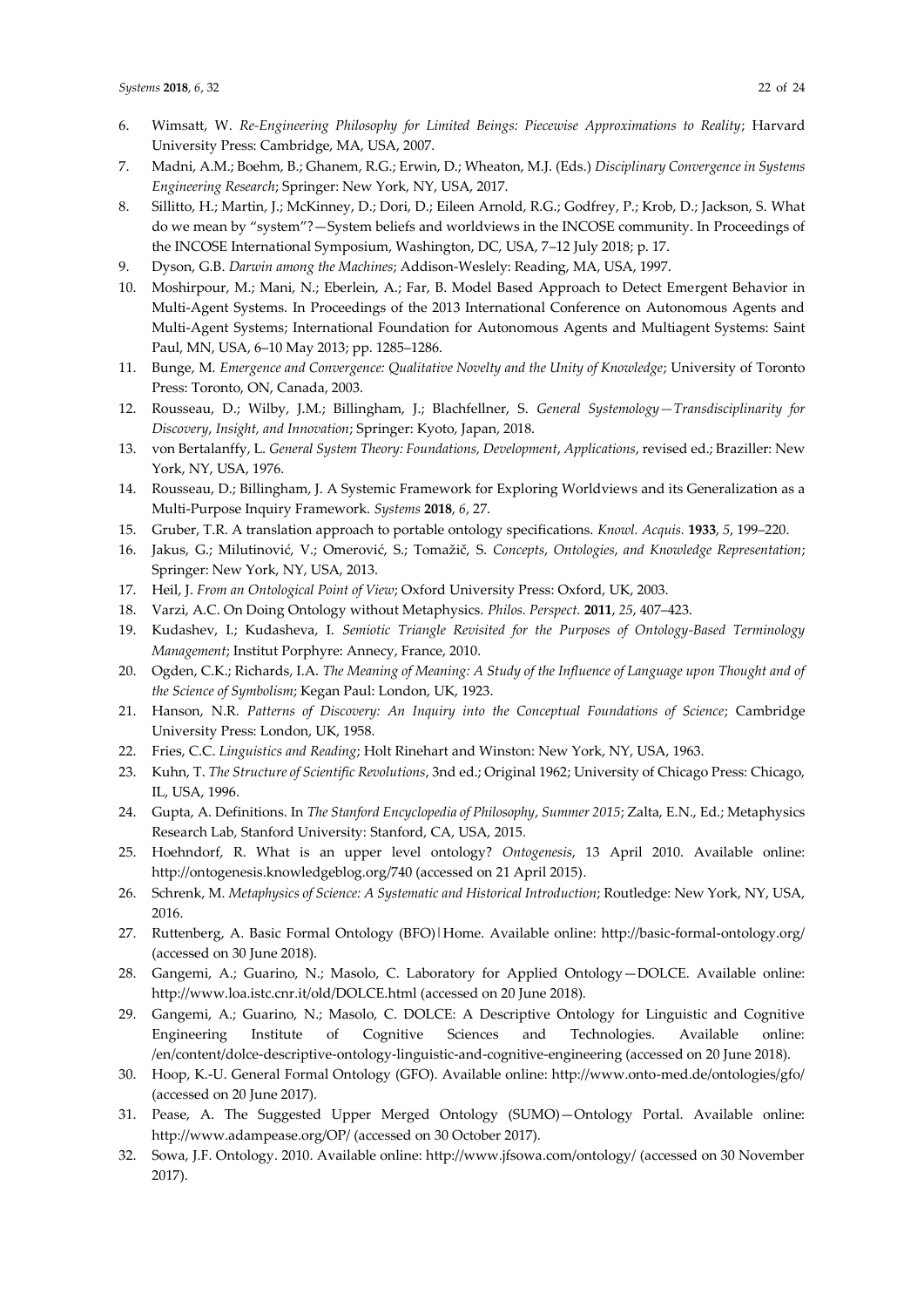- 6. Wimsatt, W. *Re-Engineering Philosophy for Limited Beings: Piecewise Approximations to Reality*; Harvard University Press: Cambridge, MA, USA, 2007.
- 7. Madni, A.M.; Boehm, B.; Ghanem, R.G.; Erwin, D.; Wheaton, M.J. (Eds.) *Disciplinary Convergence in Systems Engineering Research*; Springer: New York, NY, USA, 2017.
- 8. Sillitto, H.; Martin, J.; McKinney, D.; Dori, D.; Eileen Arnold, R.G.; Godfrey, P.; Krob, D.; Jackson, S. What do we mean by "system"?—System beliefs and worldviews in the INCOSE community. In Proceedings of the INCOSE International Symposium, Washington, DC, USA, 7–12 July 2018; p. 17.
- 9. Dyson, G.B. *Darwin among the Machines*; Addison-Weslely: Reading, MA, USA, 1997.
- 10. Moshirpour, M.; Mani, N.; Eberlein, A.; Far, B. Model Based Approach to Detect Emergent Behavior in Multi-Agent Systems. In Proceedings of the 2013 International Conference on Autonomous Agents and Multi-Agent Systems; International Foundation for Autonomous Agents and Multiagent Systems: Saint Paul, MN, USA, 6–10 May 2013; pp. 1285–1286.
- 11. Bunge, M. *Emergence and Convergence: Qualitative Novelty and the Unity of Knowledge*; University of Toronto Press: Toronto, ON, Canada, 2003.
- 12. Rousseau, D.; Wilby, J.M.; Billingham, J.; Blachfellner, S. *General Systemology—Transdisciplinarity for Discovery*, *Insight, and Innovation*; Springer: Kyoto, Japan, 2018.
- 13. von Bertalanffy, L. *General System Theory: Foundations, Development*, *Applications*, revised ed.; Braziller: New York, NY, USA, 1976.
- 14. Rousseau, D.; Billingham, J. A Systemic Framework for Exploring Worldviews and its Generalization as a Multi-Purpose Inquiry Framework. *Systems* **2018**, *6*, 27.
- 15. Gruber, T.R. A translation approach to portable ontology specifications. *Knowl. Acquis.* **1933**, *5*, 199–220.
- 16. Jakus, G.; Milutinović, V.; Omerović, S.; Tomažič, S. *Concepts*, *Ontologies*, *and Knowledge Representation*; Springer: New York, NY, USA, 2013.
- 17. Heil, J. *From an Ontological Point of View*; Oxford University Press: Oxford, UK, 2003.
- 18. Varzi, A.C. On Doing Ontology without Metaphysics. *Philos. Perspect.* **2011**, *25*, 407–423.
- 19. Kudashev, I.; Kudasheva, I. *Semiotic Triangle Revisited for the Purposes of Ontology-Based Terminology Management*; Institut Porphyre: Annecy, France, 2010.
- 20. Ogden, C.K.; Richards, I.A. *The Meaning of Meaning: A Study of the Influence of Language upon Thought and of the Science of Symbolism*; Kegan Paul: London, UK, 1923.
- 21. Hanson, N.R. *Patterns of Discovery: An Inquiry into the Conceptual Foundations of Science*; Cambridge University Press: London, UK, 1958.
- 22. Fries, C.C. *Linguistics and Reading*; Holt Rinehart and Winston: New York, NY, USA, 1963.
- 23. Kuhn, T. *The Structure of Scientific Revolutions*, 3nd ed.; Original 1962; University of Chicago Press: Chicago, IL, USA, 1996.
- 24. Gupta, A. Definitions. In *The Stanford Encyclopedia of Philosophy*, *Summer 2015*; Zalta, E.N., Ed.; Metaphysics Research Lab, Stanford University: Stanford, CA, USA, 2015.
- 25. Hoehndorf, R. What is an upper level ontology? *Ontogenesis*, 13 April 2010. Available online: http://ontogenesis.knowledgeblog.org/740 (accessed on 21 April 2015).
- 26. Schrenk, M. *Metaphysics of Science: A Systematic and Historical Introduction*; Routledge: New York, NY, USA, 2016.
- 27. Ruttenberg, A. Basic Formal Ontology (BFO)|Home. Available online: http://basic-formal-ontology.org/ (accessed on 30 June 2018).
- 28. Gangemi, A.; Guarino, N.; Masolo, C. Laboratory for Applied Ontology—DOLCE. Available online: http://www.loa.istc.cnr.it/old/DOLCE.html (accessed on 20 June 2018).
- 29. Gangemi, A.; Guarino, N.; Masolo, C. DOLCE: A Descriptive Ontology for Linguistic and Cognitive Engineering Institute of Cognitive Sciences and Technologies. Available online: /en/content/dolce-descriptive-ontology-linguistic-and-cognitive-engineering (accessed on 20 June 2018).
- 30. Hoop, K.-U. General Formal Ontology (GFO). Available online: http://www.onto-med.de/ontologies/gfo/ (accessed on 20 June 2017).
- 31. Pease, A. The Suggested Upper Merged Ontology (SUMO)—Ontology Portal. Available online: http://www.adampease.org/OP/ (accessed on 30 October 2017).
- 32. Sowa, J.F. Ontology. 2010. Available online: http://www.jfsowa.com/ontology/ (accessed on 30 November 2017).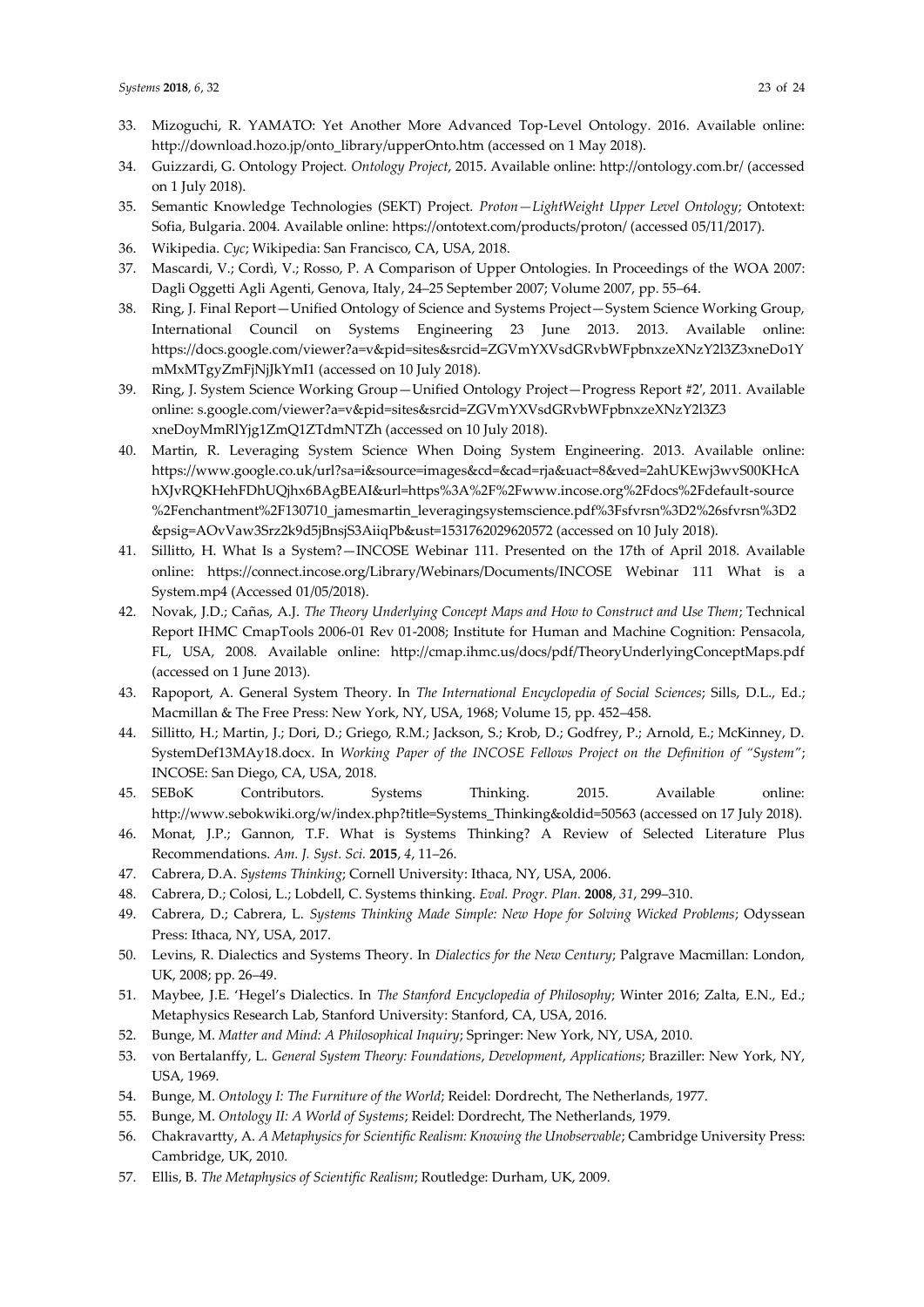- 33. Mizoguchi, R. YAMATO: Yet Another More Advanced Top-Level Ontology. 2016. Available online: http://download.hozo.jp/onto\_library/upperOnto.htm (accessed on 1 May 2018).
- 34. Guizzardi, G. Ontology Project. *Ontology Project*, 2015. Available online: http://ontology.com.br/ (accessed on 1 July 2018).
- 35. Semantic Knowledge Technologies (SEKT) Project. *Proton—LightWeight Upper Level Ontology*; Ontotext: Sofia, Bulgaria. 2004. Available online: https://ontotext.com/products/proton/ (accessed 05/11/2017).
- 36. Wikipedia. *Cyc*; Wikipedia[: San Francisco, CA,](https://www.google.com.tw/url?sa=t&rct=j&q=&esrc=s&source=web&cd=3&ved=2ahUKEwj1_Z6M97ncAhVPMd4KHSXnALUQs2YoADACegQIABAL&url=https%3A%2F%2Fen.wikipedia.org%2Fwiki%2FSan_Francisco&usg=AOvVaw0g1LqjVTOtDBreZMTiM2ii) USA, 2018.
- 37. Mascardi, V.; Cordì, V.; Rosso, P. A Comparison of Upper Ontologies. In Proceedings of the WOA 2007: Dagli Oggetti Agli Agenti, Genova, Italy, 24–25 September 2007; Volume 2007, pp. 55–64.
- 38. Ring, J. Final Report—Unified Ontology of Science and Systems Project—System Science Working Group, International Council on Systems Engineering 23 June 2013. 2013. Available online: https://docs.google.com/viewer?a=v&pid=sites&srcid=ZGVmYXVsdGRvbWFpbnxzeXNzY2l3Z3xneDo1Y mMxMTgyZmFjNjJkYmI1 (accessed on 10 July 2018).
- 39. Ring, J. System Science Working Group—Unified Ontology Project—Progress Report #2′, 2011. Available online: s.google.com/viewer?a=v&pid=sites&srcid=ZGVmYXVsdGRvbWFpbnxzeXNzY2l3Z3 xneDoyMmRlYjg1ZmQ1ZTdmNTZh (accessed on 10 July 2018).
- 40. Martin, R. Leveraging System Science When Doing System Engineering. 2013. Available online: https://www.google.co.uk/url?sa=i&source=images&cd=&cad=rja&uact=8&ved=2ahUKEwj3wvS00KHcA hXJvRQKHehFDhUQjhx6BAgBEAI&url=https%3A%2F%2Fwww.incose.org%2Fdocs%2Fdefault-source %2Fenchantment%2F130710\_jamesmartin\_leveragingsystemscience.pdf%3Fsfvrsn%3D2%26sfvrsn%3D2 &psig=AOvVaw3Srz2k9d5jBnsjS3AiiqPb&ust=1531762029620572 (accessed on 10 July 2018).
- 41. Sillitto, H. What Is a System?—INCOSE Webinar 111. Presented on the 17th of April 2018. Available online: https://connect.incose.org/Library/Webinars/Documents/INCOSE Webinar 111 What is a System.mp4 (Accessed 01/05/2018).
- 42. Novak, J.D.; Cañas, A.J. *The Theory Underlying Concept Maps and How to Construct and Use Them*; Technical Report IHMC CmapTools 2006-01 Rev 01-2008; Institute for Human and Machine Cognition: Pensacola, FL, USA, 2008. Available online: http://cmap.ihmc.us/docs/pdf/TheoryUnderlyingConceptMaps.pdf (accessed on 1 June 2013).
- 43. Rapoport, A. General System Theory. In *The International Encyclopedia of Social Sciences*; Sills, D.L., Ed.; Macmillan & The Free Press: New York, NY, USA, 1968; Volume 15, pp. 452–458.
- 44. Sillitto, H.; Martin, J.; Dori, D.; Griego, R.M.; Jackson, S.; Krob, D.; Godfrey, P.; Arnold, E.; McKinney, D. SystemDef13MAy18.docx. In *Working Paper of the INCOSE Fellows Project on the Definition of "System"*; INCOSE: San Diego, CA, USA, 2018.
- 45. SEBoK Contributors. Systems Thinking. 2015. Available online: http://www.sebokwiki.org/w/index.php?title=Systems\_Thinking&oldid=50563 (accessed on 17 July 2018).
- 46. Monat, J.P.; Gannon, T.F. What is Systems Thinking? A Review of Selected Literature Plus Recommendations. *Am. J. Syst. Sci.* **2015**, *4*, 11–26.
- 47. Cabrera, D.A. *Systems Thinking*; Cornell University: Ithaca, NY, USA, 2006.
- 48. Cabrera, D.; Colosi, L.; Lobdell, C. Systems thinking. *Eval. Progr. Plan.* **2008**, *31*, 299–310.
- 49. Cabrera, D.; Cabrera, L. *Systems Thinking Made Simple: New Hope for Solving Wicked Problems*; Odyssean Press: Ithaca, NY, USA, 2017.
- 50. Levins, R. Dialectics and Systems Theory. In *Dialectics for the New Century*; Palgrave Macmillan: London, UK, 2008; pp. 26–49.
- 51. Maybee, J.E. 'Hegel's Dialectics. In *The Stanford Encyclopedia of Philosophy*; Winter 2016; Zalta, E.N., Ed.; Metaphysics Research Lab, Stanford University: Stanford, CA, USA, 2016.
- 52. Bunge, M. *Matter and Mind: A Philosophical Inquiry*; Springer: New York, NY, USA, 2010.
- 53. von Bertalanffy, L. *General System Theory: Foundations*, *Development*, *Applications*; Braziller: New York, NY, USA, 1969.
- 54. Bunge, M. *Ontology I: The Furniture of the World*; Reidel: Dordrecht, The Netherlands, 1977.
- 55. Bunge, M. *Ontology II: A World of Systems*; Reidel: Dordrecht, The Netherlands, 1979.
- 56. Chakravartty, A. *A Metaphysics for Scientific Realism: Knowing the Unobservable;* Cambridge University Press: Cambridge, UK, 2010.
- 57. Ellis, B. *The Metaphysics of Scientific Realism*; Routledge: Durham, UK, 2009.